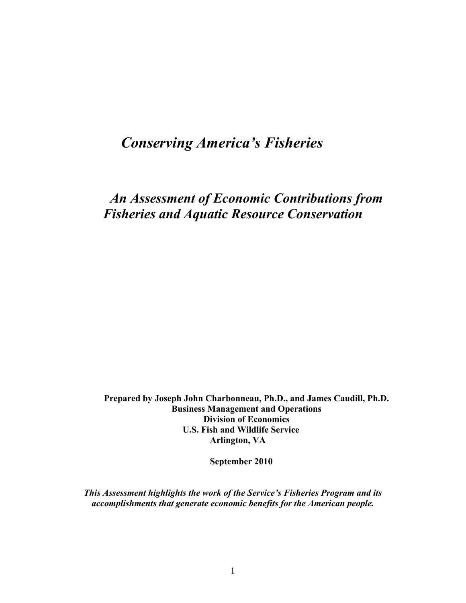# *Conserving America's Fisheries*

*An Assessment of Economic Contributions from Fisheries and Aquatic Resource Conservation*

**Prepared by Joseph John Charbonneau, Ph.D., and James Caudill, Ph.D. Business Management and Operations Division of Economics U.S. Fish and Wildlife Service Arlington, VA**

 **September 2010**

*This Assessment highlights the work of the Service's Fisheries Program and its accomplishments that generate economic benefits for the American people.*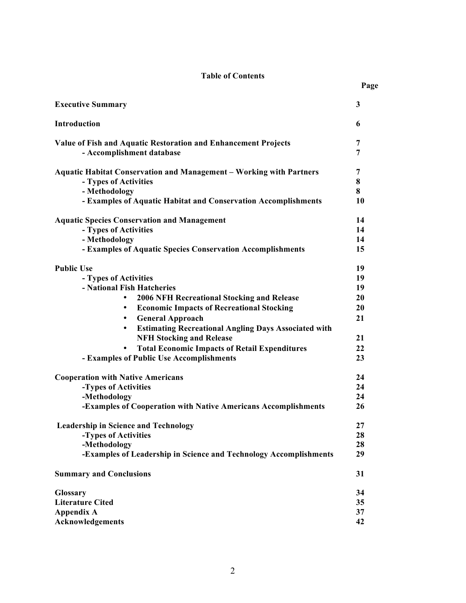# **Table of Contents**

**Page**

| <b>Executive Summary</b>                                                                                                                                                               | $\mathbf{3}$      |
|----------------------------------------------------------------------------------------------------------------------------------------------------------------------------------------|-------------------|
| Introduction                                                                                                                                                                           | 6                 |
| Value of Fish and Aquatic Restoration and Enhancement Projects<br>- Accomplishment database                                                                                            | 7<br>7            |
| <b>Aquatic Habitat Conservation and Management - Working with Partners</b><br>- Types of Activities<br>- Methodology<br>- Examples of Aquatic Habitat and Conservation Accomplishments | 7<br>8<br>8<br>10 |
| <b>Aquatic Species Conservation and Management</b>                                                                                                                                     | 14                |
| - Types of Activities                                                                                                                                                                  | 14                |
| - Methodology                                                                                                                                                                          | 14                |
| - Examples of Aquatic Species Conservation Accomplishments                                                                                                                             | 15                |
| <b>Public Use</b>                                                                                                                                                                      | 19                |
| - Types of Activities                                                                                                                                                                  | 19                |
| - National Fish Hatcheries                                                                                                                                                             | 19                |
| <b>2006 NFH Recreational Stocking and Release</b><br>$\bullet$                                                                                                                         | 20                |
| <b>Economic Impacts of Recreational Stocking</b><br>$\bullet$                                                                                                                          | 20                |
| <b>General Approach</b><br>$\bullet$                                                                                                                                                   | 21                |
| <b>Estimating Recreational Angling Days Associated with</b><br>$\bullet$                                                                                                               |                   |
| <b>NFH Stocking and Release</b>                                                                                                                                                        | 21                |
| <b>Total Economic Impacts of Retail Expenditures</b>                                                                                                                                   | 22                |
| - Examples of Public Use Accomplishments                                                                                                                                               | 23                |
| <b>Cooperation with Native Americans</b>                                                                                                                                               | 24                |
| -Types of Activities                                                                                                                                                                   | 24                |
| -Methodology                                                                                                                                                                           | 24                |
| -Examples of Cooperation with Native Americans Accomplishments                                                                                                                         | 26                |
| <b>Leadership in Science and Technology</b>                                                                                                                                            | 27                |
| -Types of Activities                                                                                                                                                                   | 28                |
| -Methodology                                                                                                                                                                           | 28                |
| -Examples of Leadership in Science and Technology Accomplishments                                                                                                                      | 29                |
| <b>Summary and Conclusions</b>                                                                                                                                                         | 31                |
| Glossary                                                                                                                                                                               | 34                |
| <b>Literature Cited</b>                                                                                                                                                                | 35                |
| <b>Appendix A</b>                                                                                                                                                                      | 37                |
| Acknowledgements                                                                                                                                                                       | 42                |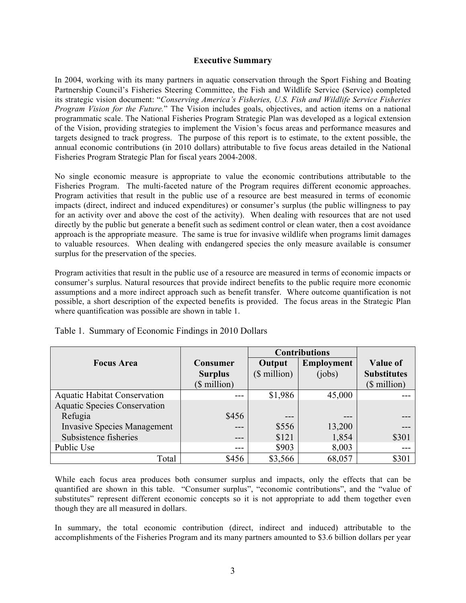# **Executive Summary**

In 2004, working with its many partners in aquatic conservation through the Sport Fishing and Boating Partnership Council's Fisheries Steering Committee, the Fish and Wildlife Service (Service) completed its strategic vision document: "*Conserving America's Fisheries, U.S. Fish and Wildlife Service Fisheries Program Vision for the Future.*" The Vision includes goals, objectives, and action items on a national programmatic scale. The National Fisheries Program Strategic Plan was developed as a logical extension of the Vision, providing strategies to implement the Vision's focus areas and performance measures and targets designed to track progress. The purpose of this report is to estimate, to the extent possible, the annual economic contributions (in 2010 dollars) attributable to five focus areas detailed in the National Fisheries Program Strategic Plan for fiscal years 2004-2008.

No single economic measure is appropriate to value the economic contributions attributable to the Fisheries Program. The multi-faceted nature of the Program requires different economic approaches. Program activities that result in the public use of a resource are best measured in terms of economic impacts (direct, indirect and induced expenditures) or consumer's surplus (the public willingness to pay for an activity over and above the cost of the activity). When dealing with resources that are not used directly by the public but generate a benefit such as sediment control or clean water, then a cost avoidance approach is the appropriate measure. The same is true for invasive wildlife when programs limit damages to valuable resources. When dealing with endangered species the only measure available is consumer surplus for the preservation of the species.

Program activities that result in the public use of a resource are measured in terms of economic impacts or consumer's surplus. Natural resources that provide indirect benefits to the public require more economic assumptions and a more indirect approach such as benefit transfer. Where outcome quantification is not possible, a short description of the expected benefits is provided. The focus areas in the Strategic Plan where quantification was possible are shown in table 1.

|                                     |                | <b>Contributions</b> |                   |                    |
|-------------------------------------|----------------|----------------------|-------------------|--------------------|
| <b>Focus Area</b>                   | Consumer       | Output               | <b>Employment</b> | <b>Value of</b>    |
|                                     | <b>Surplus</b> | $$$ million)         | (iobs)            | <b>Substitutes</b> |
|                                     | (\$ million)   |                      |                   | $$$ million)       |
| <b>Aquatic Habitat Conservation</b> |                | \$1,986              | 45,000            |                    |
| <b>Aquatic Species Conservation</b> |                |                      |                   |                    |
| Refugia                             | \$456          |                      |                   |                    |
| <b>Invasive Species Management</b>  | $---$          | \$556                | 13,200            |                    |
| Subsistence fisheries               | ---            | \$121                | 1,854             | \$301              |
| Public Use                          | ---            | \$903                | 8,003             |                    |
| Total                               | \$456          | \$3,566              | 68,057            | \$301              |

Table 1. Summary of Economic Findings in 2010 Dollars

While each focus area produces both consumer surplus and impacts, only the effects that can be quantified are shown in this table. "Consumer surplus", "economic contributions", and the "value of substitutes" represent different economic concepts so it is not appropriate to add them together even though they are all measured in dollars.

In summary, the total economic contribution (direct, indirect and induced) attributable to the accomplishments of the Fisheries Program and its many partners amounted to \$3.6 billion dollars per year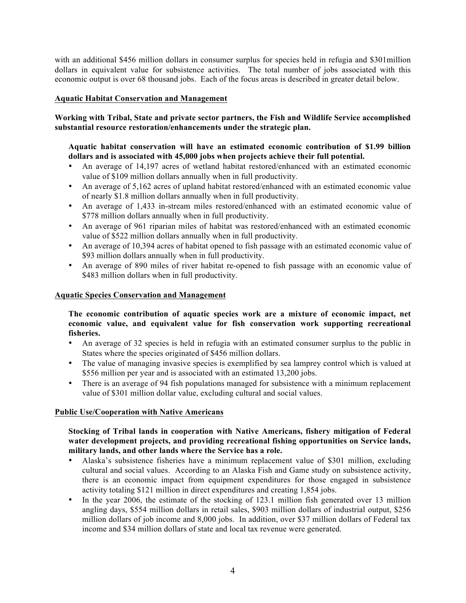with an additional \$456 million dollars in consumer surplus for species held in refugia and \$301million dollars in equivalent value for subsistence activities. The total number of jobs associated with this economic output is over 68 thousand jobs. Each of the focus areas is described in greater detail below.

# **Aquatic Habitat Conservation and Management**

# **Working with Tribal, State and private sector partners, the Fish and Wildlife Service accomplished substantial resource restoration/enhancements under the strategic plan.**

# **Aquatic habitat conservation will have an estimated economic contribution of \$1.99 billion dollars and is associated with 45,000 jobs when projects achieve their full potential.**

- An average of 14,197 acres of wetland habitat restored/enhanced with an estimated economic value of \$109 million dollars annually when in full productivity.
- An average of 5,162 acres of upland habitat restored/enhanced with an estimated economic value of nearly \$1.8 million dollars annually when in full productivity.
- An average of 1,433 in-stream miles restored/enhanced with an estimated economic value of \$778 million dollars annually when in full productivity.
- An average of 961 riparian miles of habitat was restored/enhanced with an estimated economic value of \$522 million dollars annually when in full productivity.
- An average of 10,394 acres of habitat opened to fish passage with an estimated economic value of \$93 million dollars annually when in full productivity.
- An average of 890 miles of river habitat re-opened to fish passage with an economic value of \$483 million dollars when in full productivity.

#### **Aquatic Species Conservation and Management**

## **The economic contribution of aquatic species work are a mixture of economic impact, net economic value, and equivalent value for fish conservation work supporting recreational fisheries.**

- An average of 32 species is held in refugia with an estimated consumer surplus to the public in States where the species originated of \$456 million dollars.
- The value of managing invasive species is exemplified by sea lamprey control which is valued at \$556 million per year and is associated with an estimated 13,200 jobs.
- There is an average of 94 fish populations managed for subsistence with a minimum replacement value of \$301 million dollar value, excluding cultural and social values.

## **Public Use/Cooperation with Native Americans**

## **Stocking of Tribal lands in cooperation with Native Americans, fishery mitigation of Federal water development projects, and providing recreational fishing opportunities on Service lands, military lands, and other lands where the Service has a role.**

- Alaska's subsistence fisheries have a minimum replacement value of \$301 million, excluding cultural and social values. According to an Alaska Fish and Game study on subsistence activity, there is an economic impact from equipment expenditures for those engaged in subsistence activity totaling \$121 million in direct expenditures and creating 1,854 jobs.
- In the year 2006, the estimate of the stocking of 123.1 million fish generated over 13 million angling days, \$554 million dollars in retail sales, \$903 million dollars of industrial output, \$256 million dollars of job income and 8,000 jobs. In addition, over \$37 million dollars of Federal tax income and \$34 million dollars of state and local tax revenue were generated.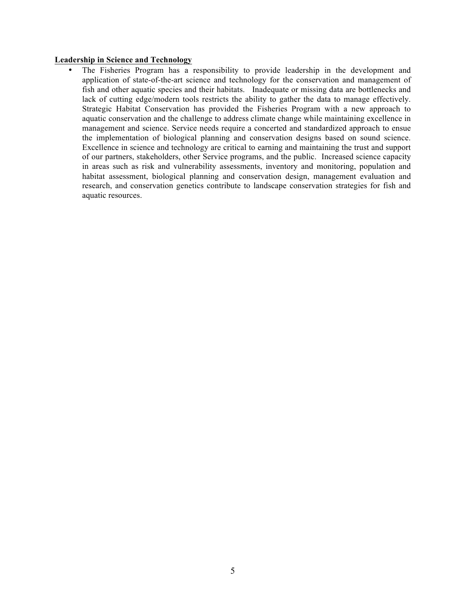#### **Leadership in Science and Technology**

• The Fisheries Program has a responsibility to provide leadership in the development and application of state-of-the-art science and technology for the conservation and management of fish and other aquatic species and their habitats. Inadequate or missing data are bottlenecks and lack of cutting edge/modern tools restricts the ability to gather the data to manage effectively. Strategic Habitat Conservation has provided the Fisheries Program with a new approach to aquatic conservation and the challenge to address climate change while maintaining excellence in management and science. Service needs require a concerted and standardized approach to ensue the implementation of biological planning and conservation designs based on sound science. Excellence in science and technology are critical to earning and maintaining the trust and support of our partners, stakeholders, other Service programs, and the public. Increased science capacity in areas such as risk and vulnerability assessments, inventory and monitoring, population and habitat assessment, biological planning and conservation design, management evaluation and research, and conservation genetics contribute to landscape conservation strategies for fish and aquatic resources.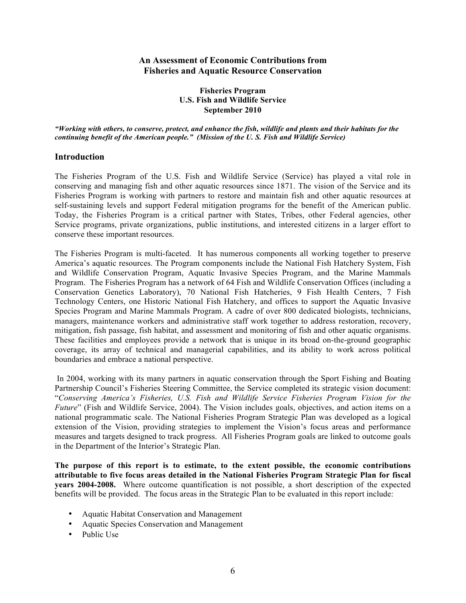# **An Assessment of Economic Contributions from Fisheries and Aquatic Resource Conservation**

#### **Fisheries Program U.S. Fish and Wildlife Service September 2010**

*"Working with others, to conserve, protect, and enhance the fish, wildlife and plants and their habitats for the continuing benefit of the American people." (Mission of the U. S. Fish and Wildlife Service)*

## **Introduction**

The Fisheries Program of the U.S. Fish and Wildlife Service (Service) has played a vital role in conserving and managing fish and other aquatic resources since 1871. The vision of the Service and its Fisheries Program is working with partners to restore and maintain fish and other aquatic resources at self-sustaining levels and support Federal mitigation programs for the benefit of the American public. Today, the Fisheries Program is a critical partner with States, Tribes, other Federal agencies, other Service programs, private organizations, public institutions, and interested citizens in a larger effort to conserve these important resources.

The Fisheries Program is multi-faceted. It has numerous components all working together to preserve America's aquatic resources. The Program components include the National Fish Hatchery System, Fish and Wildlife Conservation Program, Aquatic Invasive Species Program, and the Marine Mammals Program. The Fisheries Program has a network of 64 Fish and Wildlife Conservation Offices (including a Conservation Genetics Laboratory), 70 National Fish Hatcheries, 9 Fish Health Centers, 7 Fish Technology Centers, one Historic National Fish Hatchery, and offices to support the Aquatic Invasive Species Program and Marine Mammals Program. A cadre of over 800 dedicated biologists, technicians, managers, maintenance workers and administrative staff work together to address restoration, recovery, mitigation, fish passage, fish habitat, and assessment and monitoring of fish and other aquatic organisms. These facilities and employees provide a network that is unique in its broad on-the-ground geographic coverage, its array of technical and managerial capabilities, and its ability to work across political boundaries and embrace a national perspective.

In 2004, working with its many partners in aquatic conservation through the Sport Fishing and Boating Partnership Council's Fisheries Steering Committee, the Service completed its strategic vision document: "*Conserving America's Fisheries, U.S. Fish and Wildlife Service Fisheries Program Vision for the Future*" (Fish and Wildlife Service, 2004). The Vision includes goals, objectives, and action items on a national programmatic scale. The National Fisheries Program Strategic Plan was developed as a logical extension of the Vision, providing strategies to implement the Vision's focus areas and performance measures and targets designed to track progress. All Fisheries Program goals are linked to outcome goals in the Department of the Interior's Strategic Plan.

**The purpose of this report is to estimate, to the extent possible, the economic contributions attributable to five focus areas detailed in the National Fisheries Program Strategic Plan for fiscal years 2004-2008.** Where outcome quantification is not possible, a short description of the expected benefits will be provided. The focus areas in the Strategic Plan to be evaluated in this report include:

- Aquatic Habitat Conservation and Management
- Aquatic Species Conservation and Management
- Public Use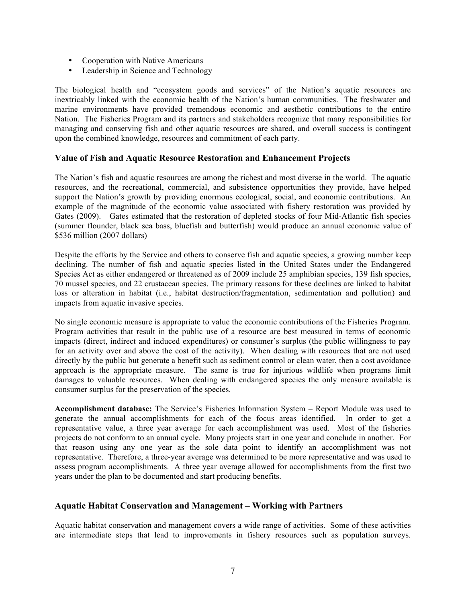- Cooperation with Native Americans
- Leadership in Science and Technology

The biological health and "ecosystem goods and services" of the Nation's aquatic resources are inextricably linked with the economic health of the Nation's human communities. The freshwater and marine environments have provided tremendous economic and aesthetic contributions to the entire Nation. The Fisheries Program and its partners and stakeholders recognize that many responsibilities for managing and conserving fish and other aquatic resources are shared, and overall success is contingent upon the combined knowledge, resources and commitment of each party.

# **Value of Fish and Aquatic Resource Restoration and Enhancement Projects**

The Nation's fish and aquatic resources are among the richest and most diverse in the world. The aquatic resources, and the recreational, commercial, and subsistence opportunities they provide, have helped support the Nation's growth by providing enormous ecological, social, and economic contributions. An example of the magnitude of the economic value associated with fishery restoration was provided by Gates (2009). Gates estimated that the restoration of depleted stocks of four Mid-Atlantic fish species (summer flounder, black sea bass, bluefish and butterfish) would produce an annual economic value of \$536 million (2007 dollars)

Despite the efforts by the Service and others to conserve fish and aquatic species, a growing number keep declining. The number of fish and aquatic species listed in the United States under the Endangered Species Act as either endangered or threatened as of 2009 include 25 amphibian species, 139 fish species, 70 mussel species, and 22 crustacean species. The primary reasons for these declines are linked to habitat loss or alteration in habitat (i.e., habitat destruction/fragmentation, sedimentation and pollution) and impacts from aquatic invasive species.

No single economic measure is appropriate to value the economic contributions of the Fisheries Program. Program activities that result in the public use of a resource are best measured in terms of economic impacts (direct, indirect and induced expenditures) or consumer's surplus (the public willingness to pay for an activity over and above the cost of the activity). When dealing with resources that are not used directly by the public but generate a benefit such as sediment control or clean water, then a cost avoidance approach is the appropriate measure. The same is true for injurious wildlife when programs limit damages to valuable resources. When dealing with endangered species the only measure available is consumer surplus for the preservation of the species.

**Accomplishment database:** The Service's Fisheries Information System – Report Module was used to generate the annual accomplishments for each of the focus areas identified. In order to get a representative value, a three year average for each accomplishment was used. Most of the fisheries projects do not conform to an annual cycle. Many projects start in one year and conclude in another. For that reason using any one year as the sole data point to identify an accomplishment was not representative. Therefore, a three-year average was determined to be more representative and was used to assess program accomplishments. A three year average allowed for accomplishments from the first two years under the plan to be documented and start producing benefits.

# **Aquatic Habitat Conservation and Management – Working with Partners**

Aquatic habitat conservation and management covers a wide range of activities. Some of these activities are intermediate steps that lead to improvements in fishery resources such as population surveys.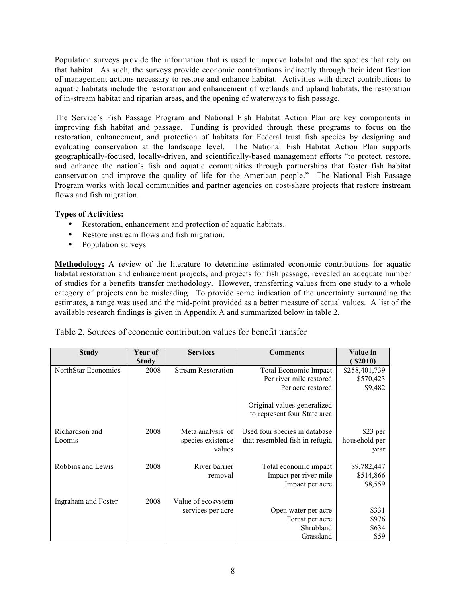Population surveys provide the information that is used to improve habitat and the species that rely on that habitat. As such, the surveys provide economic contributions indirectly through their identification of management actions necessary to restore and enhance habitat. Activities with direct contributions to aquatic habitats include the restoration and enhancement of wetlands and upland habitats, the restoration of in-stream habitat and riparian areas, and the opening of waterways to fish passage.

The Service's Fish Passage Program and National Fish Habitat Action Plan are key components in improving fish habitat and passage. Funding is provided through these programs to focus on the restoration, enhancement, and protection of habitats for Federal trust fish species by designing and evaluating conservation at the landscape level. The National Fish Habitat Action Plan supports geographically-focused, locally-driven, and scientifically-based management efforts "to protect, restore, and enhance the nation's fish and aquatic communities through partnerships that foster fish habitat conservation and improve the quality of life for the American people." The National Fish Passage Program works with local communities and partner agencies on cost-share projects that restore instream flows and fish migration.

# **Types of Activities:**

- Restoration, enhancement and protection of aquatic habitats.
- Restore instream flows and fish migration.
- Population surveys.

**Methodology:** A review of the literature to determine estimated economic contributions for aquatic habitat restoration and enhancement projects, and projects for fish passage, revealed an adequate number of studies for a benefits transfer methodology. However, transferring values from one study to a whole category of projects can be misleading. To provide some indication of the uncertainty surrounding the estimates, a range was used and the mid-point provided as a better measure of actual values. A list of the available research findings is given in Appendix A and summarized below in table 2.

| Study               | Year of | <b>Services</b>           | <b>Comments</b>                | Value in      |
|---------------------|---------|---------------------------|--------------------------------|---------------|
|                     | Study   |                           |                                | \$2010)       |
| NorthStar Economics | 2008    | <b>Stream Restoration</b> | Total Economic Impact          | \$258,401,739 |
|                     |         |                           | Per river mile restored        | \$570,423     |
|                     |         |                           | Per acre restored              | \$9,482       |
|                     |         |                           |                                |               |
|                     |         |                           | Original values generalized    |               |
|                     |         |                           | to represent four State area   |               |
|                     |         |                           |                                |               |
| Richardson and      | 2008    | Meta analysis of          | Used four species in database  | \$23 per      |
| Loomis              |         | species existence         | that resembled fish in refugia | household per |
|                     |         | values                    |                                | year          |
|                     |         |                           |                                |               |
| Robbins and Lewis   | 2008    | River barrier             | Total economic impact          | \$9,782,447   |
|                     |         | removal                   | Impact per river mile          | \$514,866     |
|                     |         |                           | Impact per acre                | \$8,559       |
|                     |         |                           |                                |               |
| Ingraham and Foster | 2008    | Value of ecosystem        |                                |               |
|                     |         | services per acre         | Open water per acre            | \$331         |
|                     |         |                           | Forest per acre                | \$976         |
|                     |         |                           | Shrubland                      | \$634         |
|                     |         |                           | Grassland                      | \$59          |

Table 2. Sources of economic contribution values for benefit transfer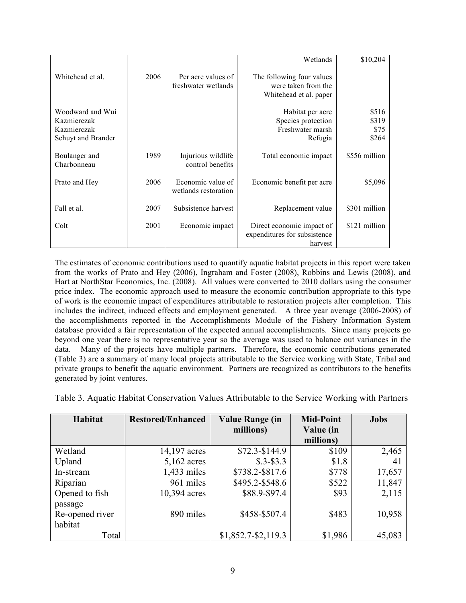|                                                                      |      |                                           | Wetlands                                                                   | \$10,204                        |
|----------------------------------------------------------------------|------|-------------------------------------------|----------------------------------------------------------------------------|---------------------------------|
| Whitehead et al.                                                     | 2006 | Per acre values of<br>freshwater wetlands | The following four values<br>were taken from the<br>Whitehead et al. paper |                                 |
| Woodward and Wui<br>Kazmierczak<br>Kazmierczak<br>Schuyt and Brander |      |                                           | Habitat per acre<br>Species protection<br>Freshwater marsh<br>Refugia      | \$516<br>\$319<br>\$75<br>\$264 |
| Boulanger and<br>Charbonneau                                         | 1989 | Injurious wildlife<br>control benefits    | Total economic impact                                                      | \$556 million                   |
| Prato and Hey                                                        | 2006 | Economic value of<br>wetlands restoration | Economic benefit per acre                                                  | \$5,096                         |
| Fall et al.                                                          | 2007 | Subsistence harvest                       | Replacement value                                                          | \$301 million                   |
| Colt                                                                 | 2001 | Economic impact                           | Direct economic impact of<br>expenditures for subsistence<br>harvest       | \$121 million                   |

The estimates of economic contributions used to quantify aquatic habitat projects in this report were taken from the works of Prato and Hey (2006), Ingraham and Foster (2008), Robbins and Lewis (2008), and Hart at NorthStar Economics, Inc. (2008). All values were converted to 2010 dollars using the consumer price index. The economic approach used to measure the economic contribution appropriate to this type of work is the economic impact of expenditures attributable to restoration projects after completion. This includes the indirect, induced effects and employment generated. A three year average (2006-2008) of the accomplishments reported in the Accomplishments Module of the Fishery Information System database provided a fair representation of the expected annual accomplishments. Since many projects go beyond one year there is no representative year so the average was used to balance out variances in the data. Many of the projects have multiple partners. Therefore, the economic contributions generated (Table 3) are a summary of many local projects attributable to the Service working with State, Tribal and private groups to benefit the aquatic environment. Partners are recognized as contributors to the benefits generated by joint ventures.

Table 3. Aquatic Habitat Conservation Values Attributable to the Service Working with Partners

| <b>Habitat</b>  | <b>Restored/Enhanced</b> | <b>Value Range (in</b> | <b>Mid-Point</b> | <b>Jobs</b> |
|-----------------|--------------------------|------------------------|------------------|-------------|
|                 |                          | millions)              | Value (in        |             |
|                 |                          |                        | millions)        |             |
| Wetland         | 14,197 acres             | $$72.3 - $144.9$       | \$109            | 2,465       |
| Upland          | $5,162$ acres            | $$.3 - $3.3$           | \$1.8            | 41          |
| In-stream       | 1,433 miles              | \$738.2-\$817.6        | \$778            | 17,657      |
| Riparian        | 961 miles                | \$495.2-\$548.6        | \$522            | 11,847      |
| Opened to fish  | 10,394 acres             | \$88.9-\$97.4          | \$93             | 2,115       |
| passage         |                          |                        |                  |             |
| Re-opened river | 890 miles                | \$458-\$507.4          | \$483            | 10,958      |
| habitat         |                          |                        |                  |             |
| Total           |                          | $$1,852.7 - $2,119.3$  | \$1,986          | 45,083      |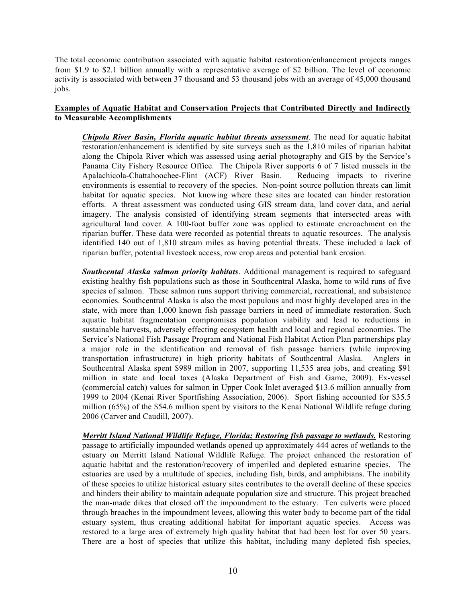The total economic contribution associated with aquatic habitat restoration/enhancement projects ranges from \$1.9 to \$2.1 billion annually with a representative average of \$2 billion. The level of economic activity is associated with between 37 thousand and 53 thousand jobs with an average of 45,000 thousand jobs.

# **Examples of Aquatic Habitat and Conservation Projects that Contributed Directly and Indirectly to Measurable Accomplishments**

*Chipola River Basin, Florida aquatic habitat threats assessment*. The need for aquatic habitat restoration/enhancement is identified by site surveys such as the 1,810 miles of riparian habitat along the Chipola River which was assessed using aerial photography and GIS by the Service's Panama City Fishery Resource Office. The Chipola River supports 6 of 7 listed mussels in the Apalachicola-Chattahoochee-Flint (ACF) River Basin. Reducing impacts to riverine environments is essential to recovery of the species. Non-point source pollution threats can limit habitat for aquatic species. Not knowing where these sites are located can hinder restoration efforts. A threat assessment was conducted using GIS stream data, land cover data, and aerial imagery. The analysis consisted of identifying stream segments that intersected areas with agricultural land cover. A 100-foot buffer zone was applied to estimate encroachment on the riparian buffer. These data were recorded as potential threats to aquatic resources. The analysis identified 140 out of 1,810 stream miles as having potential threats. These included a lack of riparian buffer, potential livestock access, row crop areas and potential bank erosion.

*Southcental Alaska salmon priority habitats*. Additional management is required to safeguard existing healthy fish populations such as those in Southcentral Alaska, home to wild runs of five species of salmon. These salmon runs support thriving commercial, recreational, and subsistence economies. Southcentral Alaska is also the most populous and most highly developed area in the state, with more than 1,000 known fish passage barriers in need of immediate restoration. Such aquatic habitat fragmentation compromises population viability and lead to reductions in sustainable harvests, adversely effecting ecosystem health and local and regional economies. The Service's National Fish Passage Program and National Fish Habitat Action Plan partnerships play a major role in the identification and removal of fish passage barriers (while improving transportation infrastructure) in high priority habitats of Southcentral Alaska. Anglers in Southcentral Alaska spent \$989 millon in 2007, supporting 11,535 area jobs, and creating \$91 million in state and local taxes (Alaska Department of Fish and Game, 2009). Ex-vessel (commercial catch) values for salmon in Upper Cook Inlet averaged \$13.6 million annually from 1999 to 2004 (Kenai River Sportfishing Association, 2006). Sport fishing accounted for \$35.5 million (65%) of the \$54.6 million spent by visitors to the Kenai National Wildlife refuge during 2006 (Carver and Caudill, 2007).

*Merritt Island National Wildlife Refuge, Florida; Restoring fish passage to wetlands.* Restoring passage to artificially impounded wetlands opened up approximately 444 acres of wetlands to the estuary on Merritt Island National Wildlife Refuge. The project enhanced the restoration of aquatic habitat and the restoration/recovery of imperiled and depleted estuarine species. The estuaries are used by a multitude of species, including fish, birds, and amphibians. The inability of these species to utilize historical estuary sites contributes to the overall decline of these species and hinders their ability to maintain adequate population size and structure. This project breached the man-made dikes that closed off the impoundment to the estuary. Ten culverts were placed through breaches in the impoundment levees, allowing this water body to become part of the tidal estuary system, thus creating additional habitat for important aquatic species. Access was restored to a large area of extremely high quality habitat that had been lost for over 50 years. There are a host of species that utilize this habitat, including many depleted fish species,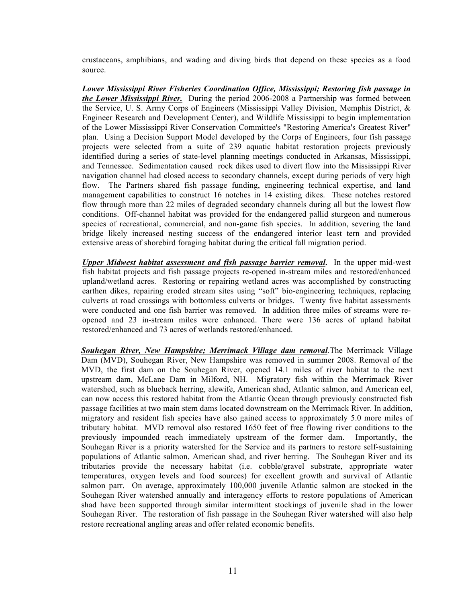crustaceans, amphibians, and wading and diving birds that depend on these species as a food source.

*Lower Mississippi River Fisheries Coordination Office, Mississippi; Restoring fish passage in the Lower Mississippi River.*During the period 2006-2008 a Partnership was formed between the Service, U. S. Army Corps of Engineers (Mississippi Valley Division, Memphis District, & Engineer Research and Development Center), and Wildlife Mississippi to begin implementation of the Lower Mississippi River Conservation Committee's "Restoring America's Greatest River" plan. Using a Decision Support Model developed by the Corps of Engineers, four fish passage projects were selected from a suite of 239 aquatic habitat restoration projects previously identified during a series of state-level planning meetings conducted in Arkansas, Mississippi, and Tennessee. Sedimentation caused rock dikes used to divert flow into the Mississippi River navigation channel had closed access to secondary channels, except during periods of very high flow. The Partners shared fish passage funding, engineering technical expertise, and land management capabilities to construct 16 notches in 14 existing dikes. These notches restored flow through more than 22 miles of degraded secondary channels during all but the lowest flow conditions. Off-channel habitat was provided for the endangered pallid sturgeon and numerous species of recreational, commercial, and non-game fish species. In addition, severing the land bridge likely increased nesting success of the endangered interior least tern and provided extensive areas of shorebird foraging habitat during the critical fall migration period.

*Upper Midwest habitat assessment and fish passage barrier removal***.** In the upper mid-west fish habitat projects and fish passage projects re-opened in-stream miles and restored/enhanced upland/wetland acres. Restoring or repairing wetland acres was accomplished by constructing earthen dikes, repairing eroded stream sites using "soft" bio-engineering techniques, replacing culverts at road crossings with bottomless culverts or bridges. Twenty five habitat assessments were conducted and one fish barrier was removed. In addition three miles of streams were reopened and 23 in-stream miles were enhanced. There were 136 acres of upland habitat restored/enhanced and 73 acres of wetlands restored/enhanced.

*Souhegan River, New Hampshire; Merrimack Village dam removal*.The Merrimack Village Dam (MVD), Souhegan River, New Hampshire was removed in summer 2008. Removal of the MVD, the first dam on the Souhegan River, opened 14.1 miles of river habitat to the next upstream dam, McLane Dam in Milford, NH. Migratory fish within the Merrimack River watershed, such as blueback herring, alewife, American shad, Atlantic salmon, and American eel, can now access this restored habitat from the Atlantic Ocean through previously constructed fish passage facilities at two main stem dams located downstream on the Merrimack River. In addition, migratory and resident fish species have also gained access to approximately 5.0 more miles of tributary habitat. MVD removal also restored 1650 feet of free flowing river conditions to the previously impounded reach immediately upstream of the former dam. Importantly, the Souhegan River is a priority watershed for the Service and its partners to restore self-sustaining populations of Atlantic salmon, American shad, and river herring. The Souhegan River and its tributaries provide the necessary habitat (i.e. cobble/gravel substrate, appropriate water temperatures, oxygen levels and food sources) for excellent growth and survival of Atlantic salmon parr. On average, approximately 100,000 juvenile Atlantic salmon are stocked in the Souhegan River watershed annually and interagency efforts to restore populations of American shad have been supported through similar intermittent stockings of juvenile shad in the lower Souhegan River. The restoration of fish passage in the Souhegan River watershed will also help restore recreational angling areas and offer related economic benefits.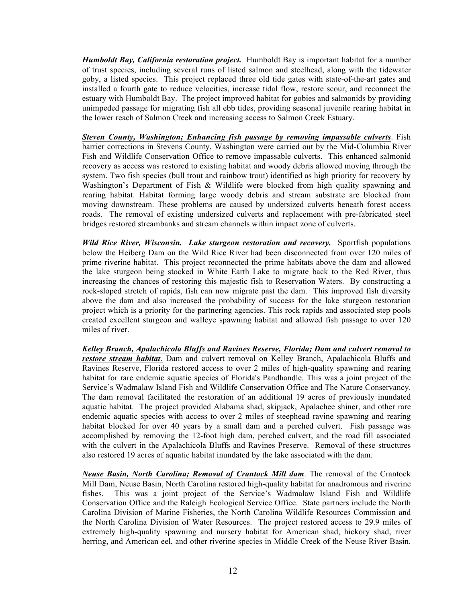*Humboldt Bay, California restoration project.* Humboldt Bay is important habitat for a number of trust species, including several runs of listed salmon and steelhead, along with the tidewater goby, a listed species. This project replaced three old tide gates with state-of-the-art gates and installed a fourth gate to reduce velocities, increase tidal flow, restore scour, and reconnect the estuary with Humboldt Bay. The project improved habitat for gobies and salmonids by providing unimpeded passage for migrating fish all ebb tides, providing seasonal juvenile rearing habitat in the lower reach of Salmon Creek and increasing access to Salmon Creek Estuary.

*Steven County, Washington; Enhancing fish passage by removing impassable culverts*. Fish barrier corrections in Stevens County, Washington were carried out by the Mid-Columbia River Fish and Wildlife Conservation Office to remove impassable culverts. This enhanced salmonid recovery as access was restored to existing habitat and woody debris allowed moving through the system. Two fish species (bull trout and rainbow trout) identified as high priority for recovery by Washington's Department of Fish & Wildlife were blocked from high quality spawning and rearing habitat. Habitat forming large woody debris and stream substrate are blocked from moving downstream. These problems are caused by undersized culverts beneath forest access roads. The removal of existing undersized culverts and replacement with pre-fabricated steel bridges restored streambanks and stream channels within impact zone of culverts.

*Wild Rice River, Wisconsin. Lake sturgeon restoration and recovery.* Sportfish populations below the Heiberg Dam on the Wild Rice River had been disconnected from over 120 miles of prime riverine habitat. This project reconnected the prime habitats above the dam and allowed the lake sturgeon being stocked in White Earth Lake to migrate back to the Red River, thus increasing the chances of restoring this majestic fish to Reservation Waters. By constructing a rock-sloped stretch of rapids, fish can now migrate past the dam. This improved fish diversity above the dam and also increased the probability of success for the lake sturgeon restoration project which is a priority for the partnering agencies. This rock rapids and associated step pools created excellent sturgeon and walleye spawning habitat and allowed fish passage to over 120 miles of river.

*Kelley Branch, Apalachicola Bluffs and Ravines Reserve, Florida; Dam and culvert removal to restore stream habitat*. Dam and culvert removal on Kelley Branch, Apalachicola Bluffs and Ravines Reserve, Florida restored access to over 2 miles of high-quality spawning and rearing habitat for rare endemic aquatic species of Florida's Pandhandle. This was a joint project of the Service's Wadmalaw Island Fish and Wildlife Conservation Office and The Nature Conservancy. The dam removal facilitated the restoration of an additional 19 acres of previously inundated aquatic habitat. The project provided Alabama shad, skipjack, Apalachee shiner, and other rare endemic aquatic species with access to over 2 miles of steephead ravine spawning and rearing habitat blocked for over 40 years by a small dam and a perched culvert. Fish passage was accomplished by removing the 12-foot high dam, perched culvert, and the road fill associated with the culvert in the Apalachicola Bluffs and Ravines Preserve. Removal of these structures also restored 19 acres of aquatic habitat inundated by the lake associated with the dam.

*Neuse Basin, North Carolina; Removal of Crantock Mill dam*. The removal of the Crantock Mill Dam, Neuse Basin, North Carolina restored high-quality habitat for anadromous and riverine fishes. This was a joint project of the Service's Wadmalaw Island Fish and Wildlife Conservation Office and the Raleigh Ecological Service Office. State partners include the North Carolina Division of Marine Fisheries, the North Carolina Wildlife Resources Commission and the North Carolina Division of Water Resources. The project restored access to 29.9 miles of extremely high-quality spawning and nursery habitat for American shad, hickory shad, river herring, and American eel, and other riverine species in Middle Creek of the Neuse River Basin.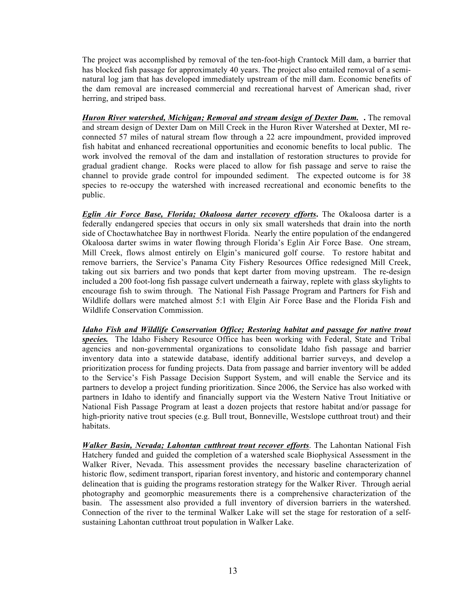The project was accomplished by removal of the ten-foot-high Crantock Mill dam, a barrier that has blocked fish passage for approximately 40 years. The project also entailed removal of a seminatural log jam that has developed immediately upstream of the mill dam. Economic benefits of the dam removal are increased commercial and recreational harvest of American shad, river herring, and striped bass.

*Huron River watershed, Michigan; Removal and stream design of Dexter Dam.* **.** The removal and stream design of Dexter Dam on Mill Creek in the Huron River Watershed at Dexter, MI reconnected 57 miles of natural stream flow through a 22 acre impoundment, provided improved fish habitat and enhanced recreational opportunities and economic benefits to local public. The work involved the removal of the dam and installation of restoration structures to provide for gradual gradient change. Rocks were placed to allow for fish passage and serve to raise the channel to provide grade control for impounded sediment. The expected outcome is for 38 species to re-occupy the watershed with increased recreational and economic benefits to the public.

*Eglin Air Force Base, Florida; Okaloosa darter recovery efforts***.** The Okaloosa darter is a federally endangered species that occurs in only six small watersheds that drain into the north side of Choctawhatchee Bay in northwest Florida. Nearly the entire population of the endangered Okaloosa darter swims in water flowing through Florida's Eglin Air Force Base. One stream, Mill Creek, flows almost entirely on Elgin's manicured golf course. To restore habitat and remove barriers, the Service's Panama City Fishery Resources Office redesigned Mill Creek, taking out six barriers and two ponds that kept darter from moving upstream. The re-design included a 200 foot-long fish passage culvert underneath a fairway, replete with glass skylights to encourage fish to swim through. The National Fish Passage Program and Partners for Fish and Wildlife dollars were matched almost 5:1 with Elgin Air Force Base and the Florida Fish and Wildlife Conservation Commission.

*Idaho Fish and Wildlife Conservation Office; Restoring habitat and passage for native trout species.* The Idaho Fishery Resource Office has been working with Federal, State and Tribal agencies and non-governmental organizations to consolidate Idaho fish passage and barrier inventory data into a statewide database, identify additional barrier surveys, and develop a prioritization process for funding projects. Data from passage and barrier inventory will be added to the Service's Fish Passage Decision Support System, and will enable the Service and its partners to develop a project funding prioritization. Since 2006, the Service has also worked with partners in Idaho to identify and financially support via the Western Native Trout Initiative or National Fish Passage Program at least a dozen projects that restore habitat and/or passage for high-priority native trout species (e.g. Bull trout, Bonneville, Westslope cutthroat trout) and their habitats.

*Walker Basin, Nevada; Lahontan cutthroat trout recover efforts*. The Lahontan National Fish Hatchery funded and guided the completion of a watershed scale Biophysical Assessment in the Walker River, Nevada. This assessment provides the necessary baseline characterization of historic flow, sediment transport, riparian forest inventory, and historic and contemporary channel delineation that is guiding the programs restoration strategy for the Walker River. Through aerial photography and geomorphic measurements there is a comprehensive characterization of the basin. The assessment also provided a full inventory of diversion barriers in the watershed. Connection of the river to the terminal Walker Lake will set the stage for restoration of a selfsustaining Lahontan cutthroat trout population in Walker Lake.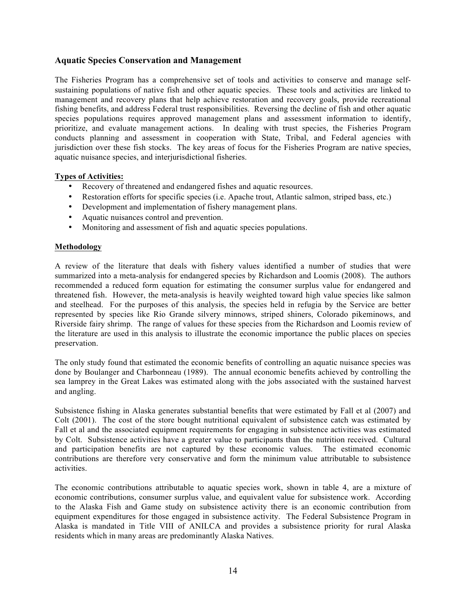# **Aquatic Species Conservation and Management**

The Fisheries Program has a comprehensive set of tools and activities to conserve and manage selfsustaining populations of native fish and other aquatic species. These tools and activities are linked to management and recovery plans that help achieve restoration and recovery goals, provide recreational fishing benefits, and address Federal trust responsibilities. Reversing the decline of fish and other aquatic species populations requires approved management plans and assessment information to identify, prioritize, and evaluate management actions. In dealing with trust species, the Fisheries Program conducts planning and assessment in cooperation with State, Tribal, and Federal agencies with jurisdiction over these fish stocks. The key areas of focus for the Fisheries Program are native species, aquatic nuisance species, and interjurisdictional fisheries.

## **Types of Activities:**

- Recovery of threatened and endangered fishes and aquatic resources.
- Restoration efforts for specific species (i.e. Apache trout, Atlantic salmon, striped bass, etc.)
- Development and implementation of fishery management plans.
- Aquatic nuisances control and prevention.
- Monitoring and assessment of fish and aquatic species populations.

## **Methodology**

A review of the literature that deals with fishery values identified a number of studies that were summarized into a meta-analysis for endangered species by Richardson and Loomis (2008). The authors recommended a reduced form equation for estimating the consumer surplus value for endangered and threatened fish. However, the meta-analysis is heavily weighted toward high value species like salmon and steelhead. For the purposes of this analysis, the species held in refugia by the Service are better represented by species like Rio Grande silvery minnows, striped shiners, Colorado pikeminows, and Riverside fairy shrimp. The range of values for these species from the Richardson and Loomis review of the literature are used in this analysis to illustrate the economic importance the public places on species preservation.

The only study found that estimated the economic benefits of controlling an aquatic nuisance species was done by Boulanger and Charbonneau (1989). The annual economic benefits achieved by controlling the sea lamprey in the Great Lakes was estimated along with the jobs associated with the sustained harvest and angling.

Subsistence fishing in Alaska generates substantial benefits that were estimated by Fall et al (2007) and Colt (2001). The cost of the store bought nutritional equivalent of subsistence catch was estimated by Fall et al and the associated equipment requirements for engaging in subsistence activities was estimated by Colt. Subsistence activities have a greater value to participants than the nutrition received. Cultural and participation benefits are not captured by these economic values. The estimated economic contributions are therefore very conservative and form the minimum value attributable to subsistence activities.

The economic contributions attributable to aquatic species work, shown in table 4, are a mixture of economic contributions, consumer surplus value, and equivalent value for subsistence work. According to the Alaska Fish and Game study on subsistence activity there is an economic contribution from equipment expenditures for those engaged in subsistence activity. The Federal Subsistence Program in Alaska is mandated in Title VIII of ANILCA and provides a subsistence priority for rural Alaska residents which in many areas are predominantly Alaska Natives.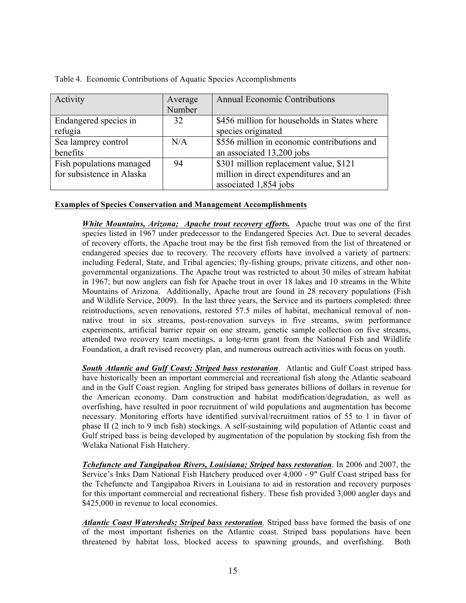| Activity                  | Average | <b>Annual Economic Contributions</b>         |
|---------------------------|---------|----------------------------------------------|
|                           | Number  |                                              |
| Endangered species in     | 32      | \$456 million for households in States where |
| refugia                   |         | species originated                           |
| Sea lamprey control       | N/A     | \$556 million in economic contributions and  |
| benefits                  |         | an associated 13,200 jobs                    |
| Fish populations managed  | 94      | \$301 million replacement value, \$121       |
| for subsistence in Alaska |         | million in direct expenditures and an        |
|                           |         | associated 1,854 jobs                        |

Table 4. Economic Contributions of Aquatic Species Accomplishments

## **Examples of Species Conservation and Management Accomplishments**

*White Mountains, Arizona; Apache trout recovery efforts.* Apache trout was one of the first species listed in 1967 under predecessor to the Endangered Species Act. Due to several decades of recovery efforts, the Apache trout may be the first fish removed from the list of threatened or endangered species due to recovery. The recovery efforts have involved a variety of partners: including Federal, State, and Tribal agencies; fly-fishing groups, private citizens, and other nongovernmental organizations. The Apache trout was restricted to about 30 miles of stream habitat in 1967; but now anglers can fish for Apache trout in over 18 lakes and 10 streams in the White Mountains of Arizona. Additionally, Apache trout are found in 28 recovery populations (Fish and Wildlife Service, 2009). In the last three years, the Service and its partners completed: three reintroductions, seven renovations, restored 57.5 miles of habitat, mechanical removal of nonnative trout in six streams, post-renovation surveys in five streams, swim performance experiments, artificial barrier repair on one stream, genetic sample collection on five streams, attended two recovery team meetings, a long-term grant from the National Fish and Wildlife Foundation, a draft revised recovery plan, and numerous outreach activities with focus on youth.

*South Atlantic and Gulf Coast; Striped bass restoration*. Atlantic and Gulf Coast striped bass have historically been an important commercial and recreational fish along the Atlantic seaboard and in the Gulf Coast region. Angling for striped bass generates billions of dollars in revenue for the American economy. Dam construction and habitat modification/degradation, as well as overfishing, have resulted in poor recruitment of wild populations and augmentation has become necessary. Monitoring efforts have identified survival/recruitment ratios of 55 to 1 in favor of phase II (2 inch to 9 inch fish) stockings. A self-sustaining wild population of Atlantic coast and Gulf striped bass is being developed by augmentation of the population by stocking fish from the Welaka National Fish Hatchery.

*Tchefuncte and Tangipahoa Rivers, Louisiana; Striped bass restoration.* In 2006 and 2007, the Service's Inks Dam National Fish Hatchery produced over 4,000 - 9" Gulf Coast striped bass for the Tchefuncte and Tangipahoa Rivers in Louisiana to aid in restoration and recovery purposes for this important commercial and recreational fishery. These fish provided 3,000 angler days and \$425,000 in revenue to local economies.

*Atlantic Coast Watersheds; Striped bass restoration*. Striped bass have formed the basis of one of the most important fisheries on the Atlantic coast. Striped bass populations have been threatened by habitat loss, blocked access to spawning grounds, and overfishing. Both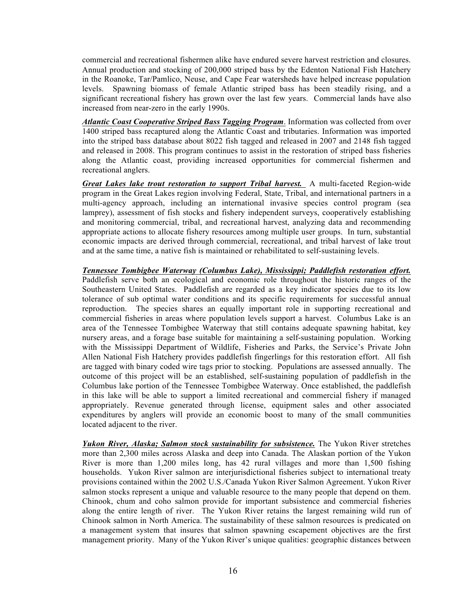commercial and recreational fishermen alike have endured severe harvest restriction and closures. Annual production and stocking of 200,000 striped bass by the Edenton National Fish Hatchery in the Roanoke, Tar/Pamlico, Neuse, and Cape Fear watersheds have helped increase population levels. Spawning biomass of female Atlantic striped bass has been steadily rising, and a significant recreational fishery has grown over the last few years. Commercial lands have also increased from near-zero in the early 1990s.

*Atlantic Coast Cooperative Striped Bass Tagging Program*. Information was collected from over 1400 striped bass recaptured along the Atlantic Coast and tributaries. Information was imported into the striped bass database about 8022 fish tagged and released in 2007 and 2148 fish tagged and released in 2008. This program continues to assist in the restoration of striped bass fisheries along the Atlantic coast, providing increased opportunities for commercial fishermen and recreational anglers.

*Great Lakes lake trout restoration to support Tribal harvest.* A multi-faceted Region-wide program in the Great Lakes region involving Federal, State, Tribal, and international partners in a multi-agency approach, including an international invasive species control program (sea lamprey), assessment of fish stocks and fishery independent surveys, cooperatively establishing and monitoring commercial, tribal, and recreational harvest, analyzing data and recommending appropriate actions to allocate fishery resources among multiple user groups. In turn, substantial economic impacts are derived through commercial, recreational, and tribal harvest of lake trout and at the same time, a native fish is maintained or rehabilitated to self-sustaining levels.

*Tennessee Tombigbee Waterway (Columbus Lake), Mississippi; Paddlefish restoration effort.* Paddlefish serve both an ecological and economic role throughout the historic ranges of the Southeastern United States. Paddlefish are regarded as a key indicator species due to its low tolerance of sub optimal water conditions and its specific requirements for successful annual reproduction. The species shares an equally important role in supporting recreational and commercial fisheries in areas where population levels support a harvest. Columbus Lake is an area of the Tennessee Tombigbee Waterway that still contains adequate spawning habitat, key nursery areas, and a forage base suitable for maintaining a self-sustaining population. Working with the Mississippi Department of Wildlife, Fisheries and Parks, the Service's Private John Allen National Fish Hatchery provides paddlefish fingerlings for this restoration effort. All fish are tagged with binary coded wire tags prior to stocking. Populations are assessed annually. The outcome of this project will be an established, self-sustaining population of paddlefish in the Columbus lake portion of the Tennessee Tombigbee Waterway. Once established, the paddlefish in this lake will be able to support a limited recreational and commercial fishery if managed appropriately. Revenue generated through license, equipment sales and other associated expenditures by anglers will provide an economic boost to many of the small communities located adjacent to the river.

*Yukon River, Alaska; Salmon stock sustainability for subsistence.* The Yukon River stretches more than 2,300 miles across Alaska and deep into Canada. The Alaskan portion of the Yukon River is more than 1,200 miles long, has 42 rural villages and more than 1,500 fishing households. Yukon River salmon are interjurisdictional fisheries subject to international treaty provisions contained within the 2002 U.S./Canada Yukon River Salmon Agreement. Yukon River salmon stocks represent a unique and valuable resource to the many people that depend on them. Chinook, chum and coho salmon provide for important subsistence and commercial fisheries along the entire length of river. The Yukon River retains the largest remaining wild run of Chinook salmon in North America. The sustainability of these salmon resources is predicated on a management system that insures that salmon spawning escapement objectives are the first management priority. Many of the Yukon River's unique qualities: geographic distances between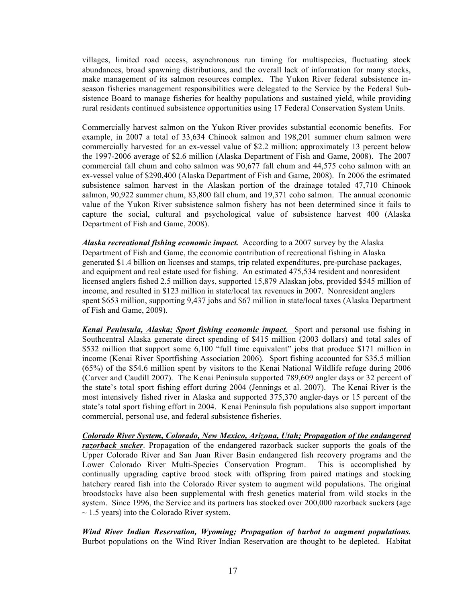villages, limited road access, asynchronous run timing for multispecies, fluctuating stock abundances, broad spawning distributions, and the overall lack of information for many stocks, make management of its salmon resources complex. The Yukon River federal subsistence inseason fisheries management responsibilities were delegated to the Service by the Federal Subsistence Board to manage fisheries for healthy populations and sustained yield, while providing rural residents continued subsistence opportunities using 17 Federal Conservation System Units.

Commercially harvest salmon on the Yukon River provides substantial economic benefits. For example, in 2007 a total of 33,634 Chinook salmon and 198,201 summer chum salmon were commercially harvested for an ex-vessel value of \$2.2 million; approximately 13 percent below the 1997-2006 average of \$2.6 million (Alaska Department of Fish and Game, 2008). The 2007 commercial fall chum and coho salmon was 90,677 fall chum and 44,575 coho salmon with an ex-vessel value of \$290,400 (Alaska Department of Fish and Game, 2008). In 2006 the estimated subsistence salmon harvest in the Alaskan portion of the drainage totaled 47,710 Chinook salmon, 90,922 summer chum, 83,800 fall chum, and 19,371 coho salmon. The annual economic value of the Yukon River subsistence salmon fishery has not been determined since it fails to capture the social, cultural and psychological value of subsistence harvest 400 (Alaska Department of Fish and Game, 2008).

*Alaska recreational fishing economic impact.* According to a 2007 survey by the Alaska Department of Fish and Game, the economic contribution of recreational fishing in Alaska generated \$1.4 billion on licenses and stamps, trip related expenditures, pre-purchase packages, and equipment and real estate used for fishing. An estimated 475,534 resident and nonresident licensed anglers fished 2.5 million days, supported 15,879 Alaskan jobs, provided \$545 million of income, and resulted in \$123 million in state/local tax revenues in 2007. Nonresident anglers spent \$653 million, supporting 9,437 jobs and \$67 million in state/local taxes (Alaska Department of Fish and Game, 2009).

*Kenai Peninsula, Alaska; Sport fishing economic impact.* Sport and personal use fishing in Southcentral Alaska generate direct spending of \$415 million (2003 dollars) and total sales of \$532 million that support some 6,100 "full time equivalent" jobs that produce \$171 million in income (Kenai River Sportfishing Association 2006). Sport fishing accounted for \$35.5 million (65%) of the \$54.6 million spent by visitors to the Kenai National Wildlife refuge during 2006 (Carver and Caudill 2007). The Kenai Peninsula supported 789,609 angler days or 32 percent of the state's total sport fishing effort during 2004 (Jennings et al. 2007). The Kenai River is the most intensively fished river in Alaska and supported 375,370 angler-days or 15 percent of the state's total sport fishing effort in 2004. Kenai Peninsula fish populations also support important commercial, personal use, and federal subsistence fisheries.

*Colorado River System, Colorado, New Mexico, Arizona, Utah; Propagation of the endangered razorback sucker*. Propagation of the endangered razorback sucker supports the goals of the Upper Colorado River and San Juan River Basin endangered fish recovery programs and the Lower Colorado River Multi-Species Conservation Program. This is accomplished by continually upgrading captive brood stock with offspring from paired matings and stocking hatchery reared fish into the Colorado River system to augment wild populations. The original broodstocks have also been supplemental with fresh genetics material from wild stocks in the system. Since 1996, the Service and its partners has stocked over 200,000 razorback suckers (age  $\sim$  1.5 years) into the Colorado River system.

*Wind River Indian Reservation, Wyoming; Propagation of burbot to augment populations.*  Burbot populations on the Wind River Indian Reservation are thought to be depleted. Habitat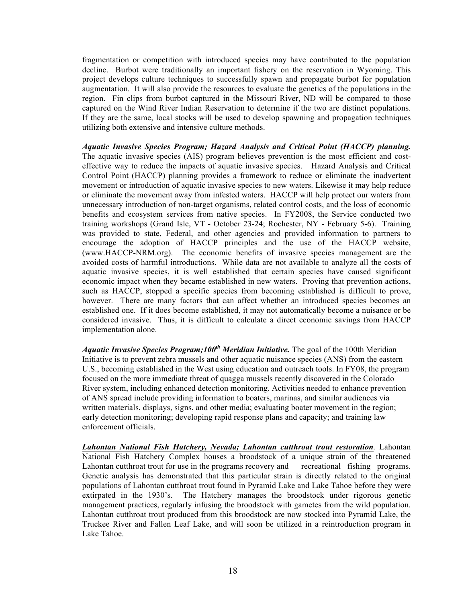fragmentation or competition with introduced species may have contributed to the population decline. Burbot were traditionally an important fishery on the reservation in Wyoming. This project develops culture techniques to successfully spawn and propagate burbot for population augmentation. It will also provide the resources to evaluate the genetics of the populations in the region. Fin clips from burbot captured in the Missouri River, ND will be compared to those captured on the Wind River Indian Reservation to determine if the two are distinct populations. If they are the same, local stocks will be used to develop spawning and propagation techniques utilizing both extensive and intensive culture methods.

*Aquatic Invasive Species Program; Hazard Analysis and Critical Point (HACCP) planning.* The aquatic invasive species (AIS) program believes prevention is the most efficient and costeffective way to reduce the impacts of aquatic invasive species. Hazard Analysis and Critical Control Point (HACCP) planning provides a framework to reduce or eliminate the inadvertent movement or introduction of aquatic invasive species to new waters. Likewise it may help reduce or eliminate the movement away from infested waters. HACCP will help protect our waters from unnecessary introduction of non-target organisms, related control costs, and the loss of economic benefits and ecosystem services from native species. In FY2008, the Service conducted two training workshops (Grand Isle, VT - October 23-24; Rochester, NY - February 5-6). Training was provided to state, Federal, and other agencies and provided information to partners to encourage the adoption of HACCP principles and the use of the HACCP website, (www.HACCP-NRM.org). The economic benefits of invasive species management are the avoided costs of harmful introductions. While data are not available to analyze all the costs of aquatic invasive species, it is well established that certain species have caused significant economic impact when they became established in new waters. Proving that prevention actions, such as HACCP, stopped a specific species from becoming established is difficult to prove, however. There are many factors that can affect whether an introduced species becomes an established one. If it does become established, it may not automatically become a nuisance or be considered invasive. Thus, it is difficult to calculate a direct economic savings from HACCP implementation alone.

*Aquatic Invasive Species Program;100th Meridian Initiative.* The goal of the 100th Meridian Initiative is to prevent zebra mussels and other aquatic nuisance species (ANS) from the eastern U.S., becoming established in the West using education and outreach tools. In FY08, the program focused on the more immediate threat of quagga mussels recently discovered in the Colorado River system, including enhanced detection monitoring. Activities needed to enhance prevention of ANS spread include providing information to boaters, marinas, and similar audiences via written materials, displays, signs, and other media; evaluating boater movement in the region; early detection monitoring; developing rapid response plans and capacity; and training law enforcement officials.

*Lahontan National Fish Hatchery, Nevada; Lahontan cutthroat trout restoration.* Lahontan National Fish Hatchery Complex houses a broodstock of a unique strain of the threatened Lahontan cutthroat trout for use in the programs recovery and recreational fishing programs. Genetic analysis has demonstrated that this particular strain is directly related to the original populations of Lahontan cutthroat trout found in Pyramid Lake and Lake Tahoe before they were extirpated in the 1930's. The Hatchery manages the broodstock under rigorous genetic management practices, regularly infusing the broodstock with gametes from the wild population. Lahontan cutthroat trout produced from this broodstock are now stocked into Pyramid Lake, the Truckee River and Fallen Leaf Lake, and will soon be utilized in a reintroduction program in Lake Tahoe.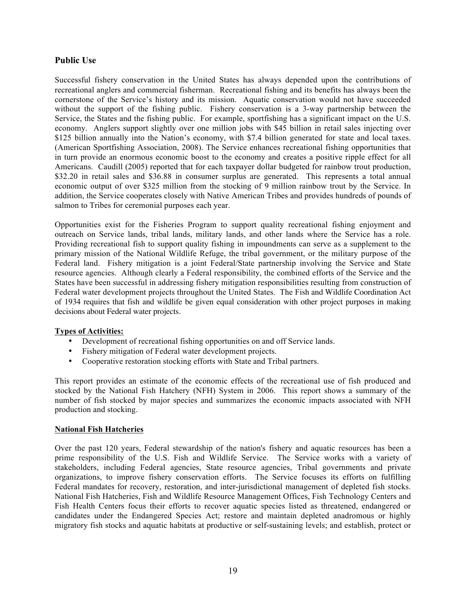# **Public Use**

Successful fishery conservation in the United States has always depended upon the contributions of recreational anglers and commercial fisherman. Recreational fishing and its benefits has always been the cornerstone of the Service's history and its mission. Aquatic conservation would not have succeeded without the support of the fishing public. Fishery conservation is a 3-way partnership between the Service, the States and the fishing public. For example, sportfishing has a significant impact on the U.S. economy. Anglers support slightly over one million jobs with \$45 billion in retail sales injecting over \$125 billion annually into the Nation's economy, with \$7.4 billion generated for state and local taxes. (American Sportfishing Association, 2008). The Service enhances recreational fishing opportunities that in turn provide an enormous economic boost to the economy and creates a positive ripple effect for all Americans. Caudill (2005) reported that for each taxpayer dollar budgeted for rainbow trout production, \$32.20 in retail sales and \$36.88 in consumer surplus are generated. This represents a total annual economic output of over \$325 million from the stocking of 9 million rainbow trout by the Service. In addition, the Service cooperates closely with Native American Tribes and provides hundreds of pounds of salmon to Tribes for ceremonial purposes each year.

Opportunities exist for the Fisheries Program to support quality recreational fishing enjoyment and outreach on Service lands, tribal lands, military lands, and other lands where the Service has a role. Providing recreational fish to support quality fishing in impoundments can serve as a supplement to the primary mission of the National Wildlife Refuge, the tribal government, or the military purpose of the Federal land. Fishery mitigation is a joint Federal/State partnership involving the Service and State resource agencies. Although clearly a Federal responsibility, the combined efforts of the Service and the States have been successful in addressing fishery mitigation responsibilities resulting from construction of Federal water development projects throughout the United States. The Fish and Wildlife Coordination Act of 1934 requires that fish and wildlife be given equal consideration with other project purposes in making decisions about Federal water projects.

## **Types of Activities:**

- Development of recreational fishing opportunities on and off Service lands.
- Fishery mitigation of Federal water development projects.
- Cooperative restoration stocking efforts with State and Tribal partners.

This report provides an estimate of the economic effects of the recreational use of fish produced and stocked by the National Fish Hatchery (NFH) System in 2006. This report shows a summary of the number of fish stocked by major species and summarizes the economic impacts associated with NFH production and stocking.

## **National Fish Hatcheries**

Over the past 120 years, Federal stewardship of the nation's fishery and aquatic resources has been a prime responsibility of the U.S. Fish and Wildlife Service. The Service works with a variety of stakeholders, including Federal agencies, State resource agencies, Tribal governments and private organizations, to improve fishery conservation efforts. The Service focuses its efforts on fulfilling Federal mandates for recovery, restoration, and inter-jurisdictional management of depleted fish stocks. National Fish Hatcheries, Fish and Wildlife Resource Management Offices, Fish Technology Centers and Fish Health Centers focus their efforts to recover aquatic species listed as threatened, endangered or candidates under the Endangered Species Act; restore and maintain depleted anadromous or highly migratory fish stocks and aquatic habitats at productive or self-sustaining levels; and establish, protect or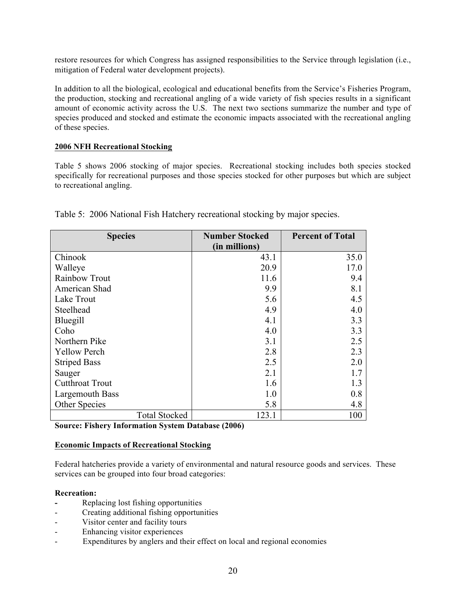restore resources for which Congress has assigned responsibilities to the Service through legislation (i.e., mitigation of Federal water development projects).

In addition to all the biological, ecological and educational benefits from the Service's Fisheries Program, the production, stocking and recreational angling of a wide variety of fish species results in a significant amount of economic activity across the U.S. The next two sections summarize the number and type of species produced and stocked and estimate the economic impacts associated with the recreational angling of these species.

# **2006 NFH Recreational Stocking**

Table 5 shows 2006 stocking of major species. Recreational stocking includes both species stocked specifically for recreational purposes and those species stocked for other purposes but which are subject to recreational angling.

| <b>Species</b>                    | <b>Number Stocked</b>               | <b>Percent of Total</b> |
|-----------------------------------|-------------------------------------|-------------------------|
|                                   | (in millions)                       |                         |
| Chinook                           | 43.1                                | 35.0                    |
| Walleye                           | 20.9                                | 17.0                    |
| Rainbow Trout                     | 11.6                                | 9.4                     |
| American Shad                     | 9.9                                 | 8.1                     |
| Lake Trout                        | 5.6                                 | 4.5                     |
| Steelhead                         | 4.9                                 | 4.0                     |
| Bluegill                          | 4.1                                 | 3.3                     |
| Coho                              | 4.0                                 | 3.3                     |
| Northern Pike                     | 3.1                                 | 2.5                     |
| <b>Yellow Perch</b>               | 2.8                                 | 2.3                     |
| <b>Striped Bass</b>               | 2.5                                 | 2.0                     |
| Sauger                            | 2.1                                 | 1.7                     |
| <b>Cutthroat Trout</b>            | 1.6                                 | 1.3                     |
| Largemouth Bass                   | 1.0                                 | 0.8                     |
| Other Species                     | 5.8                                 | 4.8                     |
| <b>Total Stocked</b>              | 123.1                               | 100                     |
| $\sim$<br>172 L.<br>T e<br>$\sim$ | $\mathbf{R}$ $\mathbf{I}$<br>(2000) |                         |

Table 5: 2006 National Fish Hatchery recreational stocking by major species.

**Source: Fishery Information System Database (2006)**

## **Economic Impacts of Recreational Stocking**

Federal hatcheries provide a variety of environmental and natural resource goods and services. These services can be grouped into four broad categories:

## **Recreation:**

- **-** Replacing lost fishing opportunities
- Creating additional fishing opportunities
- Visitor center and facility tours
- Enhancing visitor experiences
- Expenditures by anglers and their effect on local and regional economies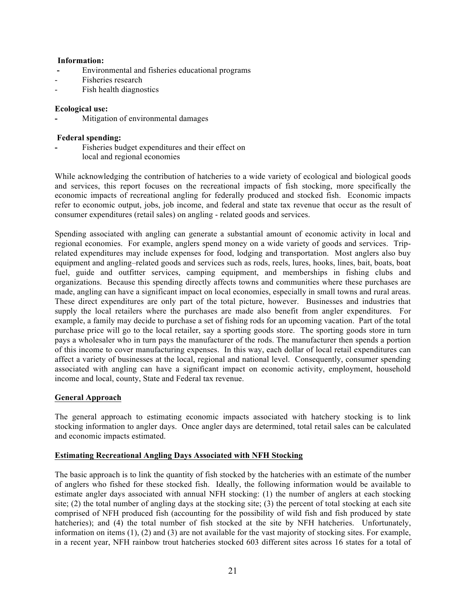# **Information:**

- **-** Environmental and fisheries educational programs
- Fisheries research
- Fish health diagnostics

# **Ecological use:**

**-** Mitigation of environmental damages

# **Federal spending:**

**-** Fisheries budget expenditures and their effect on local and regional economies

While acknowledging the contribution of hatcheries to a wide variety of ecological and biological goods and services, this report focuses on the recreational impacts of fish stocking, more specifically the economic impacts of recreational angling for federally produced and stocked fish. Economic impacts refer to economic output, jobs, job income, and federal and state tax revenue that occur as the result of consumer expenditures (retail sales) on angling - related goods and services.

Spending associated with angling can generate a substantial amount of economic activity in local and regional economies. For example, anglers spend money on a wide variety of goods and services. Triprelated expenditures may include expenses for food, lodging and transportation. Most anglers also buy equipment and angling–related goods and services such as rods, reels, lures, hooks, lines, bait, boats, boat fuel, guide and outfitter services, camping equipment, and memberships in fishing clubs and organizations. Because this spending directly affects towns and communities where these purchases are made, angling can have a significant impact on local economies, especially in small towns and rural areas. These direct expenditures are only part of the total picture, however. Businesses and industries that supply the local retailers where the purchases are made also benefit from angler expenditures. For example, a family may decide to purchase a set of fishing rods for an upcoming vacation. Part of the total purchase price will go to the local retailer, say a sporting goods store. The sporting goods store in turn pays a wholesaler who in turn pays the manufacturer of the rods. The manufacturer then spends a portion of this income to cover manufacturing expenses. In this way, each dollar of local retail expenditures can affect a variety of businesses at the local, regional and national level. Consequently, consumer spending associated with angling can have a significant impact on economic activity, employment, household income and local, county, State and Federal tax revenue.

# **General Approach**

The general approach to estimating economic impacts associated with hatchery stocking is to link stocking information to angler days. Once angler days are determined, total retail sales can be calculated and economic impacts estimated.

## **Estimating Recreational Angling Days Associated with NFH Stocking**

The basic approach is to link the quantity of fish stocked by the hatcheries with an estimate of the number of anglers who fished for these stocked fish. Ideally, the following information would be available to estimate angler days associated with annual NFH stocking: (1) the number of anglers at each stocking site; (2) the total number of angling days at the stocking site; (3) the percent of total stocking at each site comprised of NFH produced fish (accounting for the possibility of wild fish and fish produced by state hatcheries); and (4) the total number of fish stocked at the site by NFH hatcheries. Unfortunately, information on items (1), (2) and (3) are not available for the vast majority of stocking sites. For example, in a recent year, NFH rainbow trout hatcheries stocked 603 different sites across 16 states for a total of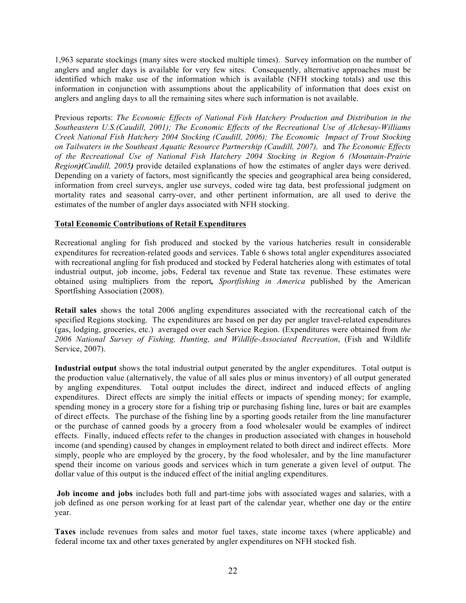1,963 separate stockings (many sites were stocked multiple times). Survey information on the number of anglers and angler days is available for very few sites. Consequently, alternative approaches must be identified which make use of the information which is available (NFH stocking totals) and use this information in conjunction with assumptions about the applicability of information that does exist on anglers and angling days to all the remaining sites where such information is not available.

Previous reports: *The Economic Effects of National Fish Hatchery Production and Distribution in the Southeastern U.S.(Caudill, 2001); The Economic Effects of the Recreational Use of Alchesay-Williams Creek National Fish Hatchery 2004 Stocking (Caudill, 2006); The Economic Impact of Trout Stocking on Tailwaters in the Southeast Aquatic Resource Partnership (Caudill, 2007),* and *The Economic Effects of the Recreational Use of National Fish Hatchery 2004 Stocking in Region 6 (Mountain-Prairie Region)(Caudill, 2005)* provide detailed explanations of how the estimates of angler days were derived. Depending on a variety of factors, most significantly the species and geographical area being considered, information from creel surveys, angler use surveys, coded wire tag data, best professional judgment on mortality rates and seasonal carry-over, and other pertinent information, are all used to derive the estimates of the number of angler days associated with NFH stocking.

# **Total Economic Contributions of Retail Expenditures**

Recreational angling for fish produced and stocked by the various hatcheries result in considerable expenditures for recreation-related goods and services. Table 6 shows total angler expenditures associated with recreational angling for fish produced and stocked by Federal hatcheries along with estimates of total industrial output, job income, jobs, Federal tax revenue and State tax revenue. These estimates were obtained using multipliers from the report*, Sportfishing in America* published by the American Sportfishing Association (2008).

**Retail sales** shows the total 2006 angling expenditures associated with the recreational catch of the specified Regions stocking. The expenditures are based on per day per angler travel-related expenditures (gas, lodging, groceries, etc.) averaged over each Service Region. (Expenditures were obtained from *the 2006 National Survey of Fishing, Hunting, and Wildlife-Associated Recreation*, (Fish and Wildlife Service, 2007).

**Industrial output** shows the total industrial output generated by the angler expenditures. Total output is the production value (alternatively, the value of all sales plus or minus inventory) of all output generated by angling expenditures. Total output includes the direct, indirect and induced effects of angling expenditures. Direct effects are simply the initial effects or impacts of spending money; for example, spending money in a grocery store for a fishing trip or purchasing fishing line, lures or bait are examples of direct effects. The purchase of the fishing line by a sporting goods retailer from the line manufacturer or the purchase of canned goods by a grocery from a food wholesaler would be examples of indirect effects. Finally, induced effects refer to the changes in production associated with changes in household income (and spending) caused by changes in employment related to both direct and indirect effects. More simply, people who are employed by the grocery, by the food wholesaler, and by the line manufacturer spend their income on various goods and services which in turn generate a given level of output. The dollar value of this output is the induced effect of the initial angling expenditures.

**Job income and jobs** includes both full and part-time jobs with associated wages and salaries, with a job defined as one person working for at least part of the calendar year, whether one day or the entire year.

**Taxes** include revenues from sales and motor fuel taxes, state income taxes (where applicable) and federal income tax and other taxes generated by angler expenditures on NFH stocked fish.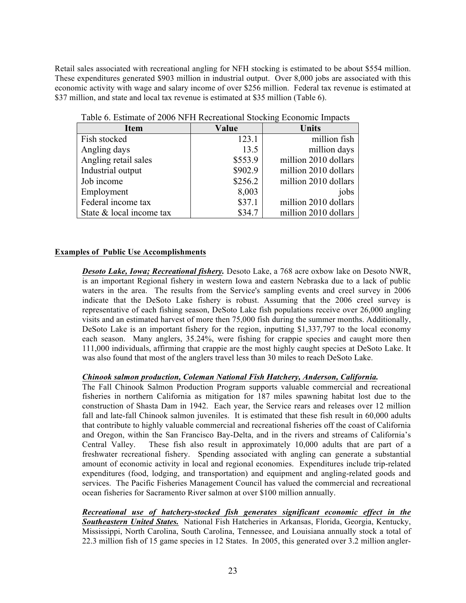Retail sales associated with recreational angling for NFH stocking is estimated to be about \$554 million. These expenditures generated \$903 million in industrial output. Over 8,000 jobs are associated with this economic activity with wage and salary income of over \$256 million. Federal tax revenue is estimated at \$37 million, and state and local tax revenue is estimated at \$35 million (Table 6).

| <b>Item</b>              | Value   | <b>Units</b>         |
|--------------------------|---------|----------------------|
| Fish stocked             | 123.1   | million fish         |
| Angling days             | 13.5    | million days         |
| Angling retail sales     | \$553.9 | million 2010 dollars |
| Industrial output        | \$902.9 | million 2010 dollars |
| Job income               | \$256.2 | million 2010 dollars |
| Employment               | 8,003   | jobs                 |
| Federal income tax       | \$37.1  | million 2010 dollars |
| State & local income tax | \$34.7  | million 2010 dollars |

Table 6. Estimate of 2006 NFH Recreational Stocking Economic Impacts

# **Examples of Public Use Accomplishments**

*Desoto Lake, Iowa; Recreational fishery.* Desoto Lake, a 768 acre oxbow lake on Desoto NWR, is an important Regional fishery in western Iowa and eastern Nebraska due to a lack of public waters in the area. The results from the Service's sampling events and creel survey in 2006 indicate that the DeSoto Lake fishery is robust. Assuming that the 2006 creel survey is representative of each fishing season, DeSoto Lake fish populations receive over 26,000 angling visits and an estimated harvest of more then 75,000 fish during the summer months. Additionally, DeSoto Lake is an important fishery for the region, inputting \$1,337,797 to the local economy each season. Many anglers, 35.24%, were fishing for crappie species and caught more then 111,000 individuals, affirming that crappie are the most highly caught species at DeSoto Lake. It was also found that most of the anglers travel less than 30 miles to reach DeSoto Lake.

## *Chinook salmon production, Coleman National Fish Hatchery, Anderson, California.*

The Fall Chinook Salmon Production Program supports valuable commercial and recreational fisheries in northern California as mitigation for 187 miles spawning habitat lost due to the construction of Shasta Dam in 1942. Each year, the Service rears and releases over 12 million fall and late-fall Chinook salmon juveniles. It is estimated that these fish result in 60,000 adults that contribute to highly valuable commercial and recreational fisheries off the coast of California and Oregon, within the San Francisco Bay-Delta, and in the rivers and streams of California's Central Valley. These fish also result in approximately 10,000 adults that are part of a freshwater recreational fishery. Spending associated with angling can generate a substantial amount of economic activity in local and regional economies. Expenditures include trip-related expenditures (food, lodging, and transportation) and equipment and angling-related goods and services. The Pacific Fisheries Management Council has valued the commercial and recreational ocean fisheries for Sacramento River salmon at over \$100 million annually.

*Recreational use of hatchery-stocked fish generates significant economic effect in the Southeastern United States.* National Fish Hatcheries in Arkansas, Florida, Georgia, Kentucky, Mississippi, North Carolina, South Carolina, Tennessee, and Louisiana annually stock a total of 22.3 million fish of 15 game species in 12 States. In 2005, this generated over 3.2 million angler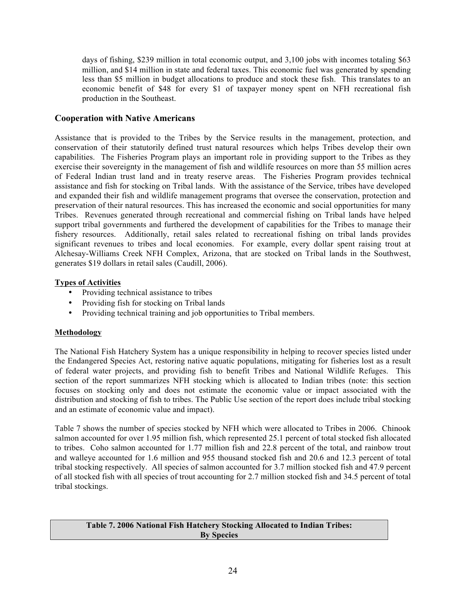days of fishing, \$239 million in total economic output, and 3,100 jobs with incomes totaling \$63 million, and \$14 million in state and federal taxes. This economic fuel was generated by spending less than \$5 million in budget allocations to produce and stock these fish. This translates to an economic benefit of \$48 for every \$1 of taxpayer money spent on NFH recreational fish production in the Southeast.

# **Cooperation with Native Americans**

Assistance that is provided to the Tribes by the Service results in the management, protection, and conservation of their statutorily defined trust natural resources which helps Tribes develop their own capabilities. The Fisheries Program plays an important role in providing support to the Tribes as they exercise their sovereignty in the management of fish and wildlife resources on more than 55 million acres of Federal Indian trust land and in treaty reserve areas. The Fisheries Program provides technical assistance and fish for stocking on Tribal lands. With the assistance of the Service, tribes have developed and expanded their fish and wildlife management programs that oversee the conservation, protection and preservation of their natural resources. This has increased the economic and social opportunities for many Tribes. Revenues generated through recreational and commercial fishing on Tribal lands have helped support tribal governments and furthered the development of capabilities for the Tribes to manage their fishery resources. Additionally, retail sales related to recreational fishing on tribal lands provides significant revenues to tribes and local economies. For example, every dollar spent raising trout at Alchesay-Williams Creek NFH Complex, Arizona, that are stocked on Tribal lands in the Southwest, generates \$19 dollars in retail sales (Caudill, 2006).

## **Types of Activities**

- Providing technical assistance to tribes
- Providing fish for stocking on Tribal lands
- Providing technical training and job opportunities to Tribal members.

## **Methodology**

The National Fish Hatchery System has a unique responsibility in helping to recover species listed under the Endangered Species Act, restoring native aquatic populations, mitigating for fisheries lost as a result of federal water projects, and providing fish to benefit Tribes and National Wildlife Refuges. This section of the report summarizes NFH stocking which is allocated to Indian tribes (note: this section focuses on stocking only and does not estimate the economic value or impact associated with the distribution and stocking of fish to tribes. The Public Use section of the report does include tribal stocking and an estimate of economic value and impact).

Table 7 shows the number of species stocked by NFH which were allocated to Tribes in 2006. Chinook salmon accounted for over 1.95 million fish, which represented 25.1 percent of total stocked fish allocated to tribes. Coho salmon accounted for 1.77 million fish and 22.8 percent of the total, and rainbow trout and walleye accounted for 1.6 million and 955 thousand stocked fish and 20.6 and 12.3 percent of total tribal stocking respectively. All species of salmon accounted for 3.7 million stocked fish and 47.9 percent of all stocked fish with all species of trout accounting for 2.7 million stocked fish and 34.5 percent of total tribal stockings.

#### **Table 7. 2006 National Fish Hatchery Stocking Allocated to Indian Tribes: By Species**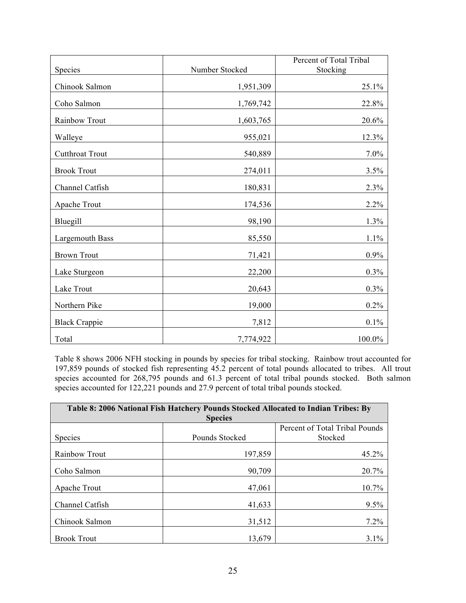|                        |                | Percent of Total Tribal |
|------------------------|----------------|-------------------------|
| Species                | Number Stocked | Stocking                |
| Chinook Salmon         | 1,951,309      | 25.1%                   |
| Coho Salmon            | 1,769,742      | 22.8%                   |
| Rainbow Trout          | 1,603,765      | 20.6%                   |
| Walleye                | 955,021        | 12.3%                   |
| <b>Cutthroat Trout</b> | 540,889        | $7.0\%$                 |
| <b>Brook Trout</b>     | 274,011        | 3.5%                    |
| Channel Catfish        | 180,831        | 2.3%                    |
| Apache Trout           | 174,536        | 2.2%                    |
| Bluegill               | 98,190         | 1.3%                    |
| <b>Largemouth Bass</b> | 85,550         | 1.1%                    |
| <b>Brown Trout</b>     | 71,421         | $0.9\%$                 |
| Lake Sturgeon          | 22,200         | $0.3\%$                 |
| Lake Trout             | 20,643         | $0.3\%$                 |
| Northern Pike          | 19,000         | $0.2\%$                 |
| <b>Black Crappie</b>   | 7,812          | $0.1\%$                 |
| Total                  | 7,774,922      | 100.0%                  |

Table 8 shows 2006 NFH stocking in pounds by species for tribal stocking. Rainbow trout accounted for 197,859 pounds of stocked fish representing 45.2 percent of total pounds allocated to tribes. All trout species accounted for 268,795 pounds and 61.3 percent of total tribal pounds stocked. Both salmon species accounted for 122,221 pounds and 27.9 percent of total tribal pounds stocked.

| Table 8: 2006 National Fish Hatchery Pounds Stocked Allocated to Indian Tribes: By |                |                                |  |
|------------------------------------------------------------------------------------|----------------|--------------------------------|--|
|                                                                                    | <b>Species</b> |                                |  |
|                                                                                    |                | Percent of Total Tribal Pounds |  |
| <b>Species</b>                                                                     | Pounds Stocked | Stocked                        |  |
| Rainbow Trout                                                                      | 197,859        | 45.2%                          |  |
| Coho Salmon                                                                        | 90,709         | 20.7%                          |  |
| Apache Trout                                                                       | 47,061         | 10.7%                          |  |
| Channel Catfish                                                                    | 41,633         | 9.5%                           |  |
| Chinook Salmon                                                                     | 31,512         | 7.2%                           |  |
| <b>Brook Trout</b>                                                                 | 13,679         | $3.1\%$                        |  |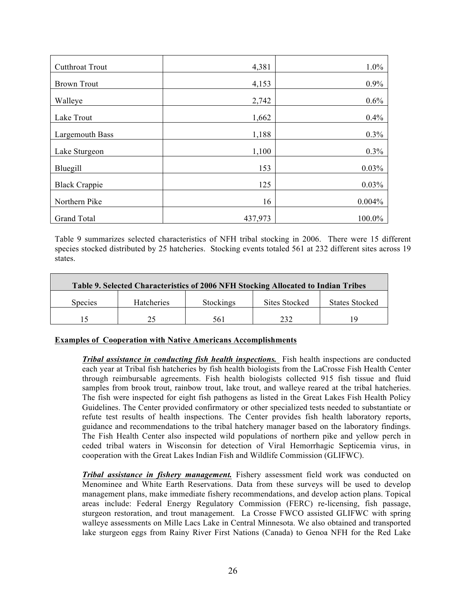| <b>Cutthroat Trout</b> | 4,381   | 1.0%   |
|------------------------|---------|--------|
| <b>Brown Trout</b>     | 4,153   | 0.9%   |
| Walleye                | 2,742   | 0.6%   |
| Lake Trout             | 1,662   | 0.4%   |
| Largemouth Bass        | 1,188   | 0.3%   |
| Lake Sturgeon          | 1,100   | 0.3%   |
| Bluegill               | 153     | 0.03%  |
| <b>Black Crappie</b>   | 125     | 0.03%  |
| Northern Pike          | 16      | 0.004% |
| <b>Grand Total</b>     | 437,973 | 100.0% |

Table 9 summarizes selected characteristics of NFH tribal stocking in 2006. There were 15 different species stocked distributed by 25 hatcheries. Stocking events totaled 561 at 232 different sites across 19 states.

| Table 9. Selected Characteristics of 2006 NFH Stocking Allocated to Indian Tribes |                   |                  |                      |                       |  |
|-----------------------------------------------------------------------------------|-------------------|------------------|----------------------|-----------------------|--|
| <b>Species</b>                                                                    | <b>Hatcheries</b> | <b>Stockings</b> | <b>Sites Stocked</b> | <b>States Stocked</b> |  |
|                                                                                   |                   | 56 I             | າາາ                  | 19                    |  |

## **Examples of Cooperation with Native Americans Accomplishments**

*Tribal assistance in conducting fish health inspections.* Fish health inspections are conducted each year at Tribal fish hatcheries by fish health biologists from the LaCrosse Fish Health Center through reimbursable agreements. Fish health biologists collected 915 fish tissue and fluid samples from brook trout, rainbow trout, lake trout, and walleye reared at the tribal hatcheries. The fish were inspected for eight fish pathogens as listed in the Great Lakes Fish Health Policy Guidelines. The Center provided confirmatory or other specialized tests needed to substantiate or refute test results of health inspections. The Center provides fish health laboratory reports, guidance and recommendations to the tribal hatchery manager based on the laboratory findings. The Fish Health Center also inspected wild populations of northern pike and yellow perch in ceded tribal waters in Wisconsin for detection of Viral Hemorrhagic Septicemia virus, in cooperation with the Great Lakes Indian Fish and Wildlife Commission (GLIFWC).

*Tribal assistance in fishery management.* Fishery assessment field work was conducted on Menominee and White Earth Reservations. Data from these surveys will be used to develop management plans, make immediate fishery recommendations, and develop action plans. Topical areas include: Federal Energy Regulatory Commission (FERC) re-licensing, fish passage, sturgeon restoration, and trout management. La Crosse FWCO assisted GLIFWC with spring walleye assessments on Mille Lacs Lake in Central Minnesota. We also obtained and transported lake sturgeon eggs from Rainy River First Nations (Canada) to Genoa NFH for the Red Lake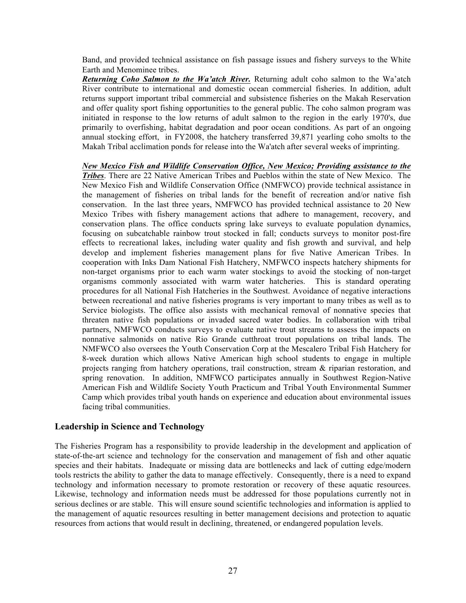Band, and provided technical assistance on fish passage issues and fishery surveys to the White Earth and Menominee tribes.

*Returning Coho Salmon to the Wa'atch River.* Returning adult coho salmon to the Wa'atch River contribute to international and domestic ocean commercial fisheries. In addition, adult returns support important tribal commercial and subsistence fisheries on the Makah Reservation and offer quality sport fishing opportunities to the general public. The coho salmon program was initiated in response to the low returns of adult salmon to the region in the early 1970's, due primarily to overfishing, habitat degradation and poor ocean conditions. As part of an ongoing annual stocking effort, in FY2008, the hatchery transferred 39,871 yearling coho smolts to the Makah Tribal acclimation ponds for release into the Wa'atch after several weeks of imprinting.

*New Mexico Fish and Wildlife Conservation Office, New Mexico; Providing assistance to the Tribes*. There are 22 Native American Tribes and Pueblos within the state of New Mexico. The New Mexico Fish and Wildlife Conservation Office (NMFWCO) provide technical assistance in the management of fisheries on tribal lands for the benefit of recreation and/or native fish conservation. In the last three years, NMFWCO has provided technical assistance to 20 New Mexico Tribes with fishery management actions that adhere to management, recovery, and conservation plans. The office conducts spring lake surveys to evaluate population dynamics, focusing on subcatchable rainbow trout stocked in fall; conducts surveys to monitor post-fire effects to recreational lakes, including water quality and fish growth and survival, and help develop and implement fisheries management plans for five Native American Tribes. In cooperation with Inks Dam National Fish Hatchery, NMFWCO inspects hatchery shipments for non-target organisms prior to each warm water stockings to avoid the stocking of non-target organisms commonly associated with warm water hatcheries. This is standard operating procedures for all National Fish Hatcheries in the Southwest. Avoidance of negative interactions between recreational and native fisheries programs is very important to many tribes as well as to Service biologists. The office also assists with mechanical removal of nonnative species that threaten native fish populations or invaded sacred water bodies. In collaboration with tribal partners, NMFWCO conducts surveys to evaluate native trout streams to assess the impacts on nonnative salmonids on native Rio Grande cutthroat trout populations on tribal lands. The NMFWCO also oversees the Youth Conservation Corp at the Mescalero Tribal Fish Hatchery for 8-week duration which allows Native American high school students to engage in multiple projects ranging from hatchery operations, trail construction, stream & riparian restoration, and spring renovation. In addition, NMFWCO participates annually in Southwest Region-Native American Fish and Wildlife Society Youth Practicum and Tribal Youth Environmental Summer Camp which provides tribal youth hands on experience and education about environmental issues facing tribal communities.

# **Leadership in Science and Technology**

The Fisheries Program has a responsibility to provide leadership in the development and application of state-of-the-art science and technology for the conservation and management of fish and other aquatic species and their habitats. Inadequate or missing data are bottlenecks and lack of cutting edge/modern tools restricts the ability to gather the data to manage effectively. Consequently, there is a need to expand technology and information necessary to promote restoration or recovery of these aquatic resources. Likewise, technology and information needs must be addressed for those populations currently not in serious declines or are stable. This will ensure sound scientific technologies and information is applied to the management of aquatic resources resulting in better management decisions and protection to aquatic resources from actions that would result in declining, threatened, or endangered population levels.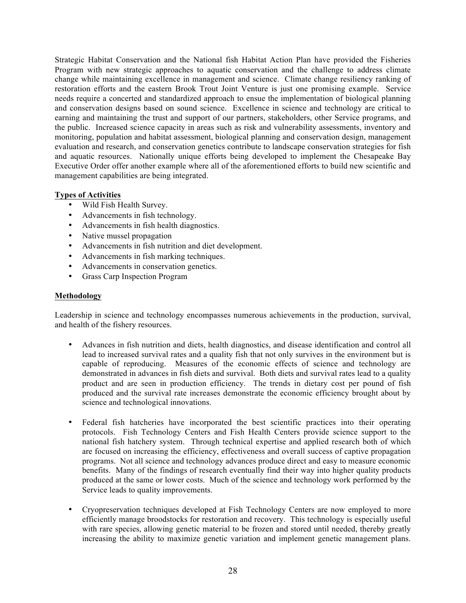Strategic Habitat Conservation and the National fish Habitat Action Plan have provided the Fisheries Program with new strategic approaches to aquatic conservation and the challenge to address climate change while maintaining excellence in management and science. Climate change resiliency ranking of restoration efforts and the eastern Brook Trout Joint Venture is just one promising example. Service needs require a concerted and standardized approach to ensue the implementation of biological planning and conservation designs based on sound science. Excellence in science and technology are critical to earning and maintaining the trust and support of our partners, stakeholders, other Service programs, and the public. Increased science capacity in areas such as risk and vulnerability assessments, inventory and monitoring, population and habitat assessment, biological planning and conservation design, management evaluation and research, and conservation genetics contribute to landscape conservation strategies for fish and aquatic resources. Nationally unique efforts being developed to implement the Chesapeake Bay Executive Order offer another example where all of the aforementioned efforts to build new scientific and management capabilities are being integrated.

# **Types of Activities**

- Wild Fish Health Survey.
- Advancements in fish technology.
- Advancements in fish health diagnostics.
- Native mussel propagation
- Advancements in fish nutrition and diet development.
- Advancements in fish marking techniques.
- Advancements in conservation genetics.
- Grass Carp Inspection Program

## **Methodology**

Leadership in science and technology encompasses numerous achievements in the production, survival, and health of the fishery resources.

- Advances in fish nutrition and diets, health diagnostics, and disease identification and control all lead to increased survival rates and a quality fish that not only survives in the environment but is capable of reproducing. Measures of the economic effects of science and technology are demonstrated in advances in fish diets and survival. Both diets and survival rates lead to a quality product and are seen in production efficiency. The trends in dietary cost per pound of fish produced and the survival rate increases demonstrate the economic efficiency brought about by science and technological innovations.
- Federal fish hatcheries have incorporated the best scientific practices into their operating protocols. Fish Technology Centers and Fish Health Centers provide science support to the national fish hatchery system. Through technical expertise and applied research both of which are focused on increasing the efficiency, effectiveness and overall success of captive propagation programs. Not all science and technology advances produce direct and easy to measure economic benefits. Many of the findings of research eventually find their way into higher quality products produced at the same or lower costs. Much of the science and technology work performed by the Service leads to quality improvements.
- Cryopreservation techniques developed at Fish Technology Centers are now employed to more efficiently manage broodstocks for restoration and recovery. This technology is especially useful with rare species, allowing genetic material to be frozen and stored until needed, thereby greatly increasing the ability to maximize genetic variation and implement genetic management plans.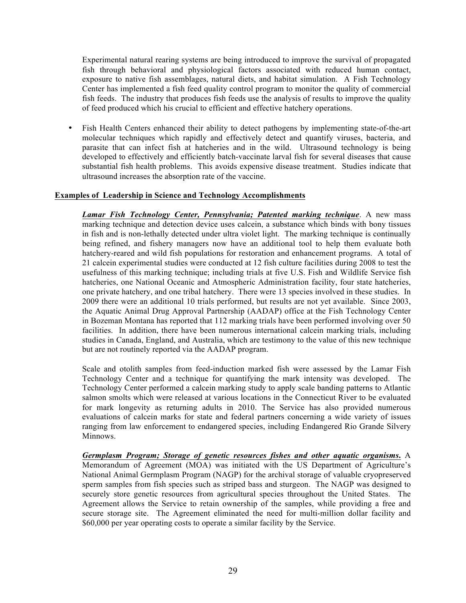Experimental natural rearing systems are being introduced to improve the survival of propagated fish through behavioral and physiological factors associated with reduced human contact, exposure to native fish assemblages, natural diets, and habitat simulation. A Fish Technology Center has implemented a fish feed quality control program to monitor the quality of commercial fish feeds. The industry that produces fish feeds use the analysis of results to improve the quality of feed produced which his crucial to efficient and effective hatchery operations.

Fish Health Centers enhanced their ability to detect pathogens by implementing state-of-the-art molecular techniques which rapidly and effectively detect and quantify viruses, bacteria, and parasite that can infect fish at hatcheries and in the wild. Ultrasound technology is being developed to effectively and efficiently batch-vaccinate larval fish for several diseases that cause substantial fish health problems. This avoids expensive disease treatment. Studies indicate that ultrasound increases the absorption rate of the vaccine.

#### **Examples of Leadership in Science and Technology Accomplishments**

*Lamar Fish Technology Center, Pennsylvania; Patented marking technique*. A new mass marking technique and detection device uses calcein, a substance which binds with bony tissues in fish and is non-lethally detected under ultra violet light. The marking technique is continually being refined, and fishery managers now have an additional tool to help them evaluate both hatchery-reared and wild fish populations for restoration and enhancement programs. A total of 21 calcein experimental studies were conducted at 12 fish culture facilities during 2008 to test the usefulness of this marking technique; including trials at five U.S. Fish and Wildlife Service fish hatcheries, one National Oceanic and Atmospheric Administration facility, four state hatcheries, one private hatchery, and one tribal hatchery. There were 13 species involved in these studies. In 2009 there were an additional 10 trials performed, but results are not yet available. Since 2003, the Aquatic Animal Drug Approval Partnership (AADAP) office at the Fish Technology Center in Bozeman Montana has reported that 112 marking trials have been performed involving over 50 facilities. In addition, there have been numerous international calcein marking trials, including studies in Canada, England, and Australia, which are testimony to the value of this new technique but are not routinely reported via the AADAP program.

Scale and otolith samples from feed-induction marked fish were assessed by the Lamar Fish Technology Center and a technique for quantifying the mark intensity was developed. The Technology Center performed a calcein marking study to apply scale banding patterns to Atlantic salmon smolts which were released at various locations in the Connecticut River to be evaluated for mark longevity as returning adults in 2010. The Service has also provided numerous evaluations of calcein marks for state and federal partners concerning a wide variety of issues ranging from law enforcement to endangered species, including Endangered Rio Grande Silvery Minnows.

*Germplasm Program; Storage of genetic resources fishes and other aquatic organisms***.** A Memorandum of Agreement (MOA) was initiated with the US Department of Agriculture's National Animal Germplasm Program (NAGP) for the archival storage of valuable cryopreserved sperm samples from fish species such as striped bass and sturgeon. The NAGP was designed to securely store genetic resources from agricultural species throughout the United States. The Agreement allows the Service to retain ownership of the samples, while providing a free and secure storage site. The Agreement eliminated the need for multi-million dollar facility and \$60,000 per year operating costs to operate a similar facility by the Service.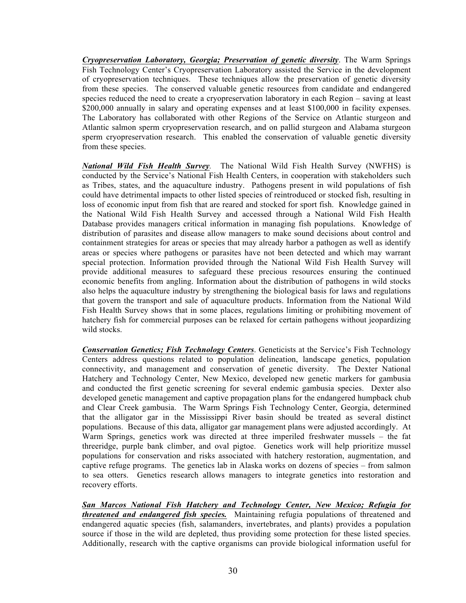*Cryopreservation Laboratory, Georgia; Preservation of genetic diversity*. The Warm Springs Fish Technology Center's Cryopreservation Laboratory assisted the Service in the development of cryopreservation techniques. These techniques allow the preservation of genetic diversity from these species. The conserved valuable genetic resources from candidate and endangered species reduced the need to create a cryopreservation laboratory in each Region – saving at least \$200,000 annually in salary and operating expenses and at least \$100,000 in facility expenses. The Laboratory has collaborated with other Regions of the Service on Atlantic sturgeon and Atlantic salmon sperm cryopreservation research, and on pallid sturgeon and Alabama sturgeon sperm cryopreservation research. This enabled the conservation of valuable genetic diversity from these species.

*National Wild Fish Health Survey.* The National Wild Fish Health Survey (NWFHS) is conducted by the Service's National Fish Health Centers, in cooperation with stakeholders such as Tribes, states, and the aquaculture industry. Pathogens present in wild populations of fish could have detrimental impacts to other listed species of reintroduced or stocked fish, resulting in loss of economic input from fish that are reared and stocked for sport fish. Knowledge gained in the National Wild Fish Health Survey and accessed through a National Wild Fish Health Database provides managers critical information in managing fish populations. Knowledge of distribution of parasites and disease allow managers to make sound decisions about control and containment strategies for areas or species that may already harbor a pathogen as well as identify areas or species where pathogens or parasites have not been detected and which may warrant special protection. Information provided through the National Wild Fish Health Survey will provide additional measures to safeguard these precious resources ensuring the continued economic benefits from angling. Information about the distribution of pathogens in wild stocks also helps the aquaculture industry by strengthening the biological basis for laws and regulations that govern the transport and sale of aquaculture products. Information from the National Wild Fish Health Survey shows that in some places, regulations limiting or prohibiting movement of hatchery fish for commercial purposes can be relaxed for certain pathogens without jeopardizing wild stocks.

*Conservation Genetics; Fish Technology Centers*. Geneticists at the Service's Fish Technology Centers address questions related to population delineation, landscape genetics, population connectivity, and management and conservation of genetic diversity. The Dexter National Hatchery and Technology Center, New Mexico, developed new genetic markers for gambusia and conducted the first genetic screening for several endemic gambusia species. Dexter also developed genetic management and captive propagation plans for the endangered humpback chub and Clear Creek gambusia. The Warm Springs Fish Technology Center, Georgia, determined that the alligator gar in the Mississippi River basin should be treated as several distinct populations. Because of this data, alligator gar management plans were adjusted accordingly. At Warm Springs, genetics work was directed at three imperiled freshwater mussels – the fat threeridge, purple bank climber, and oval pigtoe. Genetics work will help prioritize mussel populations for conservation and risks associated with hatchery restoration, augmentation, and captive refuge programs. The genetics lab in Alaska works on dozens of species – from salmon to sea otters. Genetics research allows managers to integrate genetics into restoration and recovery efforts.

*San Marcos National Fish Hatchery and Technology Center, New Mexico; Refugia for threatened and endangered fish species.* Maintaining refugia populations of threatened and endangered aquatic species (fish, salamanders, invertebrates, and plants) provides a population source if those in the wild are depleted, thus providing some protection for these listed species. Additionally, research with the captive organisms can provide biological information useful for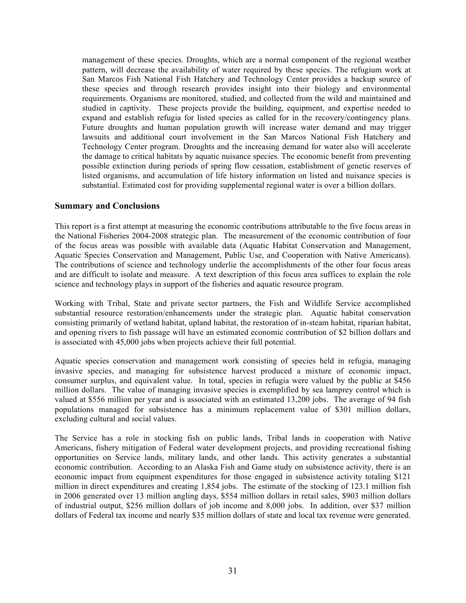management of these species. Droughts, which are a normal component of the regional weather pattern, will decrease the availability of water required by these species. The refugium work at San Marcos Fish National Fish Hatchery and Technology Center provides a backup source of these species and through research provides insight into their biology and environmental requirements. Organisms are monitored, studied, and collected from the wild and maintained and studied in captivity. These projects provide the building, equipment, and expertise needed to expand and establish refugia for listed species as called for in the recovery/contingency plans. Future droughts and human population growth will increase water demand and may trigger lawsuits and additional court involvement in the San Marcos National Fish Hatchery and Technology Center program. Droughts and the increasing demand for water also will accelerate the damage to critical habitats by aquatic nuisance species. The economic benefit from preventing possible extinction during periods of spring flow cessation, establishment of genetic reserves of listed organisms, and accumulation of life history information on listed and nuisance species is substantial. Estimated cost for providing supplemental regional water is over a billion dollars.

## **Summary and Conclusions**

This report is a first attempt at measuring the economic contributions attributable to the five focus areas in the National Fisheries 2004-2008 strategic plan. The measurement of the economic contribution of four of the focus areas was possible with available data (Aquatic Habitat Conservation and Management, Aquatic Species Conservation and Management, Public Use, and Cooperation with Native Americans). The contributions of science and technology underlie the accomplishments of the other four focus areas and are difficult to isolate and measure. A text description of this focus area suffices to explain the role science and technology plays in support of the fisheries and aquatic resource program.

Working with Tribal, State and private sector partners, the Fish and Wildlife Service accomplished substantial resource restoration/enhancements under the strategic plan. Aquatic habitat conservation consisting primarily of wetland habitat, upland habitat, the restoration of in-steam habitat, riparian habitat, and opening rivers to fish passage will have an estimated economic contribution of \$2 billion dollars and is associated with 45,000 jobs when projects achieve their full potential.

Aquatic species conservation and management work consisting of species held in refugia, managing invasive species, and managing for subsistence harvest produced a mixture of economic impact, consumer surplus, and equivalent value. In total, species in refugia were valued by the public at \$456 million dollars. The value of managing invasive species is exemplified by sea lamprey control which is valued at \$556 million per year and is associated with an estimated 13,200 jobs. The average of 94 fish populations managed for subsistence has a minimum replacement value of \$301 million dollars, excluding cultural and social values.

The Service has a role in stocking fish on public lands, Tribal lands in cooperation with Native Americans, fishery mitigation of Federal water development projects, and providing recreational fishing opportunities on Service lands, military lands, and other lands. This activity generates a substantial economic contribution. According to an Alaska Fish and Game study on subsistence activity, there is an economic impact from equipment expenditures for those engaged in subsistence activity totaling \$121 million in direct expenditures and creating 1,854 jobs. The estimate of the stocking of 123.1 million fish in 2006 generated over 13 million angling days, \$554 million dollars in retail sales, \$903 million dollars of industrial output, \$256 million dollars of job income and 8,000 jobs. In addition, over \$37 million dollars of Federal tax income and nearly \$35 million dollars of state and local tax revenue were generated.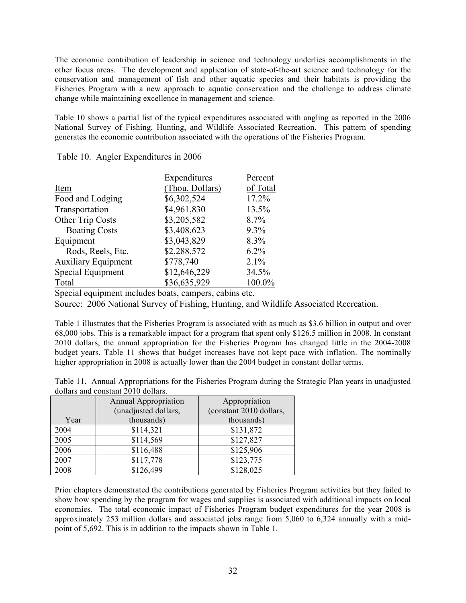The economic contribution of leadership in science and technology underlies accomplishments in the other focus areas. The development and application of state-of-the-art science and technology for the conservation and management of fish and other aquatic species and their habitats is providing the Fisheries Program with a new approach to aquatic conservation and the challenge to address climate change while maintaining excellence in management and science.

Table 10 shows a partial list of the typical expenditures associated with angling as reported in the 2006 National Survey of Fishing, Hunting, and Wildlife Associated Recreation. This pattern of spending generates the economic contribution associated with the operations of the Fisheries Program.

|                            | Expenditures    | Percent  |
|----------------------------|-----------------|----------|
| Item                       | (Thou. Dollars) | of Total |
| Food and Lodging           | \$6,302,524     | 17.2%    |
| Transportation             | \$4,961,830     | 13.5%    |
| Other Trip Costs           | \$3,205,582     | 8.7%     |
| <b>Boating Costs</b>       | \$3,408,623     | $9.3\%$  |
| Equipment                  | \$3,043,829     | 8.3%     |
| Rods, Reels, Etc.          | \$2,288,572     | $6.2\%$  |
| <b>Auxiliary Equipment</b> | \$778,740       | 2.1%     |
| Special Equipment          | \$12,646,229    | 34.5%    |
| Total                      | \$36,635,929    | 100.0%   |

Table 10. Angler Expenditures in 2006

Special equipment includes boats, campers, cabins etc.

Source: 2006 National Survey of Fishing, Hunting, and Wildlife Associated Recreation.

Table 1 illustrates that the Fisheries Program is associated with as much as \$3.6 billion in output and over 68,000 jobs. This is a remarkable impact for a program that spent only \$126.5 million in 2008. In constant 2010 dollars, the annual appropriation for the Fisheries Program has changed little in the 2004-2008 budget years. Table 11 shows that budget increases have not kept pace with inflation. The nominally higher appropriation in 2008 is actually lower than the 2004 budget in constant dollar terms.

Table 11. Annual Appropriations for the Fisheries Program during the Strategic Plan years in unadjusted dollars and constant 2010 dollars.

|      | <b>Annual Appropriation</b><br>(unadjusted dollars, | Appropriation<br>(constant 2010 dollars, |
|------|-----------------------------------------------------|------------------------------------------|
| Year | thousands)                                          | thousands)                               |
| 2004 | \$114,321                                           | \$131,872                                |
| 2005 | \$114,569                                           | \$127,827                                |
| 2006 | \$116,488                                           | \$125,906                                |
| 2007 | \$117,778                                           | \$123,775                                |
| 2008 | \$126,499                                           | \$128,025                                |

Prior chapters demonstrated the contributions generated by Fisheries Program activities but they failed to show how spending by the program for wages and supplies is associated with additional impacts on local economies. The total economic impact of Fisheries Program budget expenditures for the year 2008 is approximately 253 million dollars and associated jobs range from 5,060 to 6,324 annually with a midpoint of 5,692. This is in addition to the impacts shown in Table 1.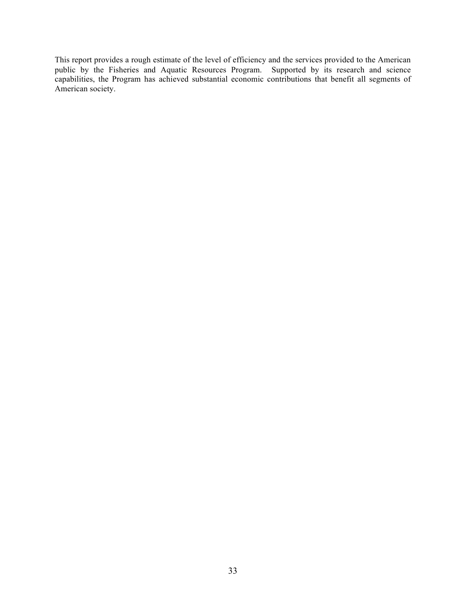This report provides a rough estimate of the level of efficiency and the services provided to the American public by the Fisheries and Aquatic Resources Program. Supported by its research and science capabilities, the Program has achieved substantial economic contributions that benefit all segments of American society.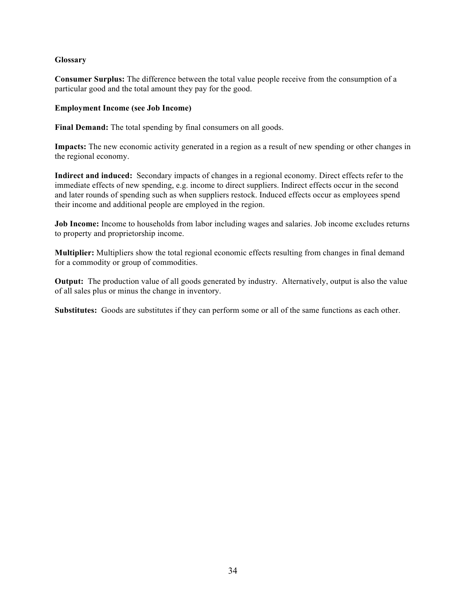# **Glossary**

**Consumer Surplus:** The difference between the total value people receive from the consumption of a particular good and the total amount they pay for the good.

#### **Employment Income (see Job Income)**

Final Demand: The total spending by final consumers on all goods.

**Impacts:** The new economic activity generated in a region as a result of new spending or other changes in the regional economy.

**Indirect and induced:** Secondary impacts of changes in a regional economy. Direct effects refer to the immediate effects of new spending, e.g. income to direct suppliers. Indirect effects occur in the second and later rounds of spending such as when suppliers restock. Induced effects occur as employees spend their income and additional people are employed in the region.

**Job Income:** Income to households from labor including wages and salaries. Job income excludes returns to property and proprietorship income.

**Multiplier:** Multipliers show the total regional economic effects resulting from changes in final demand for a commodity or group of commodities.

**Output:** The production value of all goods generated by industry. Alternatively, output is also the value of all sales plus or minus the change in inventory.

**Substitutes:** Goods are substitutes if they can perform some or all of the same functions as each other.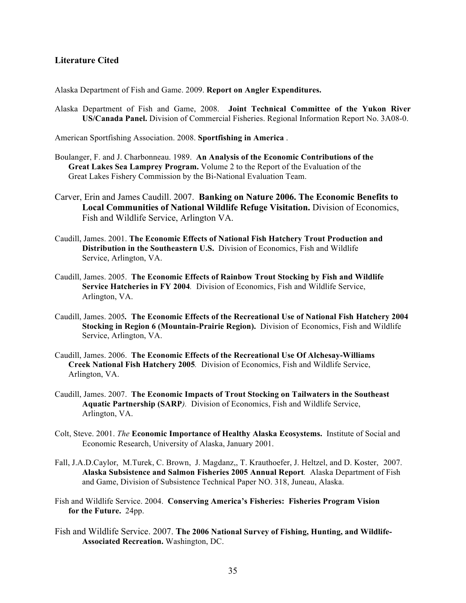# **Literature Cited**

Alaska Department of Fish and Game. 2009. **Report on Angler Expenditures.**

Alaska Department of Fish and Game, 2008. **Joint Technical Committee of the Yukon River US/Canada Panel.** Division of Commercial Fisheries. Regional Information Report No. 3A08-0.

American Sportfishing Association. 2008. **Sportfishing in America** .

- Boulanger, F. and J. Charbonneau. 1989. **An Analysis of the Economic Contributions of the Great Lakes Sea Lamprey Program.** Volume 2 to the Report of the Evaluation of the Great Lakes Fishery Commission by the Bi-National Evaluation Team.
- Carver, Erin and James Caudill. 2007. **Banking on Nature 2006. The Economic Benefits to Local Communities of National Wildlife Refuge Visitation.** Division of Economics, Fish and Wildlife Service, Arlington VA.
- Caudill, James. 2001. **The Economic Effects of National Fish Hatchery Trout Production and Distribution in the Southeastern U.S.** Division of Economics, Fish and Wildlife Service, Arlington, VA.
- Caudill, James. 2005. **The Economic Effects of Rainbow Trout Stocking by Fish and Wildlife Service Hatcheries in FY 2004***.* Division of Economics, Fish and Wildlife Service, Arlington, VA.
- Caudill, James. 2005*.* **The Economic Effects of the Recreational Use of National Fish Hatchery 2004 Stocking in Region 6 (Mountain-Prairie Region).** Division of Economics, Fish and Wildlife Service, Arlington, VA.
- Caudill, James. 2006. **The Economic Effects of the Recreational Use Of Alchesay-Williams Creek National Fish Hatchery 2005***.* Division of Economics, Fish and Wildlife Service, Arlington, VA.
- Caudill, James. 2007. **The Economic Impacts of Trout Stocking on Tailwaters in the Southeast Aquatic Partnership (SARP***).* Division of Economics, Fish and Wildlife Service, Arlington, VA.
- Colt, Steve. 2001. *The* **Economic Importance of Healthy Alaska Ecosystems.**Institute of Social and Economic Research, University of Alaska, January 2001.
- Fall, J.A.D.Caylor, M.Turek, C. Brown, J. Magdanz,, T. Krauthoefer, J. Heltzel, and D. Koster, 2007. **Alaska Subsistence and Salmon Fisheries 2005 Annual Report***.* Alaska Department of Fish and Game, Division of Subsistence Technical Paper NO. 318, Juneau, Alaska.
- Fish and Wildlife Service. 2004. **Conserving America's Fisheries: Fisheries Program Vision for the Future.** 24pp.
- Fish and Wildlife Service. 2007. **The 2006 National Survey of Fishing, Hunting, and Wildlife-Associated Recreation.** Washington, DC.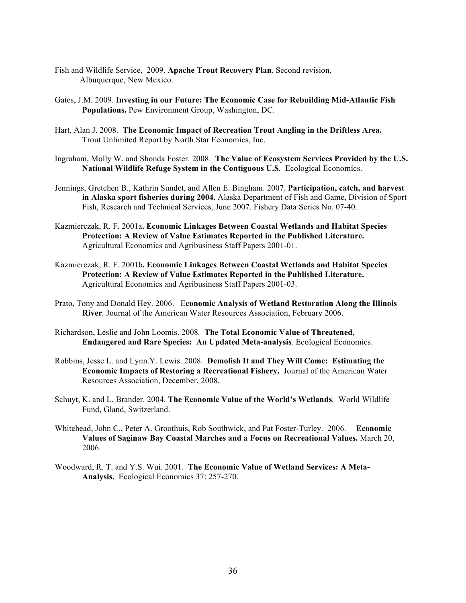- Fish and Wildlife Service, 2009. **Apache Trout Recovery Plan**. Second revision, Albuquerque, New Mexico.
- Gates, J.M. 2009. **Investing in our Future: The Economic Case for Rebuilding Mid-Atlantic Fish Populations.** Pew Environment Group, Washington, DC.
- Hart, Alan J. 2008. **The Economic Impact of Recreation Trout Angling in the Driftless Area.** Trout Unlimited Report by North Star Economics, Inc.
- Ingraham, Molly W. and Shonda Foster. 2008. **The Value of Ecosystem Services Provided by the U.S. National Wildlife Refuge System in the Contiguous U.S***.* Ecological Economics.
- Jennings, Gretchen B., Kathrin Sundet, and Allen E. Bingham. 2007. **Participation, catch, and harvest in Alaska sport fisheries during 2004**. Alaska Department of Fish and Game, Division of Sport Fish, Research and Technical Services, June 2007. Fishery Data Series No. 07-40.
- Kazmierczak, R. F. 2001a**. Economic Linkages Between Coastal Wetlands and Habitat Species Protection: A Review of Value Estimates Reported in the Published Literature.** Agricultural Economics and Agribusiness Staff Papers 2001-01.
- Kazmierczak, R. F. 2001b**. Economic Linkages Between Coastal Wetlands and Habitat Species Protection: A Review of Value Estimates Reported in the Published Literature.** Agricultural Economics and Agribusiness Staff Papers 2001-03.
- Prato, Tony and Donald Hey. 2006. E**conomic Analysis of Wetland Restoration Along the Illinois River***.* Journal of the American Water Resources Association, February 2006.
- Richardson, Leslie and John Loomis. 2008*.* **The Total Economic Value of Threatened, Endangered and Rare Species: An Updated Meta-analysis***.* Ecological Economics.
- Robbins, Jesse L. and Lynn.Y. Lewis. 2008. **Demolish It and They Will Come: Estimating the Economic Impacts of Restoring a Recreational Fishery.** Journal of the American Water Resources Association, December, 2008.
- Schuyt, K. and L. Brander. 2004. **The Economic Value of the World's Wetlands***.* World Wildlife Fund, Gland, Switzerland.
- Whitehead, John C., Peter A. Groothuis, Rob Southwick, and Pat Foster-Turley. 2006. **Economic Values of Saginaw Bay Coastal Marches and a Focus on Recreational Values.** March 20, 2006.
- Woodward, R. T. and Y.S. Wui. 2001. **The Economic Value of Wetland Services: A Meta-Analysis.** Ecological Economics 37: 257-270.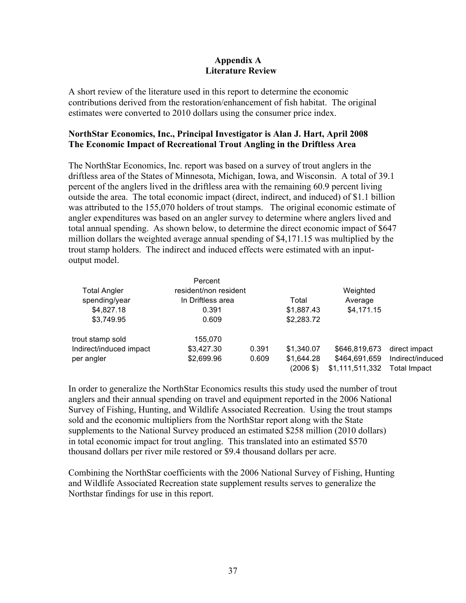# **Appendix A Literature Review**

A short review of the literature used in this report to determine the economic contributions derived from the restoration/enhancement of fish habitat. The original estimates were converted to 2010 dollars using the consumer price index.

# **NorthStar Economics, Inc., Principal Investigator is Alan J. Hart, April 2008 The Economic Impact of Recreational Trout Angling in the Driftless Area**

The NorthStar Economics, Inc. report was based on a survey of trout anglers in the driftless area of the States of Minnesota, Michigan, Iowa, and Wisconsin. A total of 39.1 percent of the anglers lived in the driftless area with the remaining 60.9 percent living outside the area. The total economic impact (direct, indirect, and induced) of \$1.1 billion was attributed to the 155,070 holders of trout stamps. The original economic estimate of angler expenditures was based on an angler survey to determine where anglers lived and total annual spending. As shown below, to determine the direct economic impact of \$647 million dollars the weighted average annual spending of \$4,171.15 was multiplied by the trout stamp holders. The indirect and induced effects were estimated with an inputoutput model.

|                         | Percent               |       |                     |                 |                  |
|-------------------------|-----------------------|-------|---------------------|-----------------|------------------|
| <b>Total Angler</b>     | resident/non resident |       |                     | Weighted        |                  |
| spending/year           | In Driftless area     |       | Total               | Average         |                  |
| \$4,827.18              | 0.391                 |       | \$1,887.43          | \$4,171.15      |                  |
| \$3,749.95              | 0.609                 |       | \$2,283.72          |                 |                  |
| trout stamp sold        | 155,070               |       |                     |                 |                  |
| Indirect/induced impact | \$3,427.30            | 0.391 | \$1,340.07          | \$646,819,673   | direct impact    |
| per angler              | \$2,699.96            | 0.609 | \$1,644.28          | \$464,691,659   | Indirect/induced |
|                         |                       |       | $(2006 \text{ $}0)$ | \$1,111,511,332 | Total Impact     |

In order to generalize the NorthStar Economics results this study used the number of trout anglers and their annual spending on travel and equipment reported in the 2006 National Survey of Fishing, Hunting, and Wildlife Associated Recreation. Using the trout stamps sold and the economic multipliers from the NorthStar report along with the State supplements to the National Survey produced an estimated \$258 million (2010 dollars) in total economic impact for trout angling. This translated into an estimated \$570 thousand dollars per river mile restored or \$9.4 thousand dollars per acre.

Combining the NorthStar coefficients with the 2006 National Survey of Fishing, Hunting and Wildlife Associated Recreation state supplement results serves to generalize the Northstar findings for use in this report.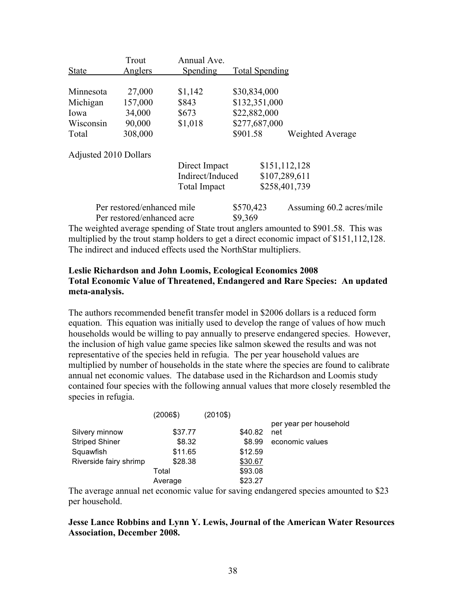| <b>State</b>          | Trout<br><b>Anglers</b>    | Annual Ave.<br>Spending |          | <b>Total Spending</b> |                          |  |
|-----------------------|----------------------------|-------------------------|----------|-----------------------|--------------------------|--|
|                       |                            |                         |          |                       |                          |  |
| Minnesota             | 27,000                     | \$1,142                 |          | \$30,834,000          |                          |  |
| Michigan              | 157,000                    | \$843                   |          | \$132,351,000         |                          |  |
| Iowa                  | 34,000                     | \$673                   |          | \$22,882,000          |                          |  |
| Wisconsin             | 90,000                     | \$1,018                 |          | \$277,687,000         |                          |  |
| Total                 | 308,000                    |                         | \$901.58 |                       | Weighted Average         |  |
| Adjusted 2010 Dollars |                            |                         |          |                       |                          |  |
|                       |                            | Direct Impact           |          |                       | \$151,112,128            |  |
|                       |                            | Indirect/Induced        |          |                       | \$107,289,611            |  |
|                       |                            | <b>Total Impact</b>     |          |                       | \$258,401,739            |  |
|                       | Per restored/enhanced mile |                         |          | \$570,423             | Assuming 60.2 acres/mile |  |
|                       | Per restored/enhanced acre |                         | \$9,369  |                       |                          |  |

The weighted average spending of State trout anglers amounted to \$901.58. This was multiplied by the trout stamp holders to get a direct economic impact of \$151,112,128. The indirect and induced effects used the NorthStar multipliers.

# **Leslie Richardson and John Loomis, Ecological Economics 2008 Total Economic Value of Threatened, Endangered and Rare Species: An updated meta-analysis.**

The authors recommended benefit transfer model in \$2006 dollars is a reduced form equation. This equation was initially used to develop the range of values of how much households would be willing to pay annually to preserve endangered species. However, the inclusion of high value game species like salmon skewed the results and was not representative of the species held in refugia. The per year household values are multiplied by number of households in the state where the species are found to calibrate annual net economic values. The database used in the Richardson and Loomis study contained four species with the following annual values that more closely resembled the species in refugia.

|                        | (2006\$) | $(2010\$ |         |                        |
|------------------------|----------|----------|---------|------------------------|
|                        |          |          |         | per year per household |
| Silvery minnow         | \$37.77  |          | \$40.82 | net                    |
| <b>Striped Shiner</b>  | \$8.32   |          | \$8.99  | economic values        |
| Squawfish              | \$11.65  |          | \$12.59 |                        |
| Riverside fairy shrimp | \$28.38  |          | \$30.67 |                        |
|                        | Total    |          | \$93.08 |                        |
|                        | Average  |          | \$23.27 |                        |

The average annual net economic value for saving endangered species amounted to \$23 per household.

**Jesse Lance Robbins and Lynn Y. Lewis, Journal of the American Water Resources Association, December 2008.**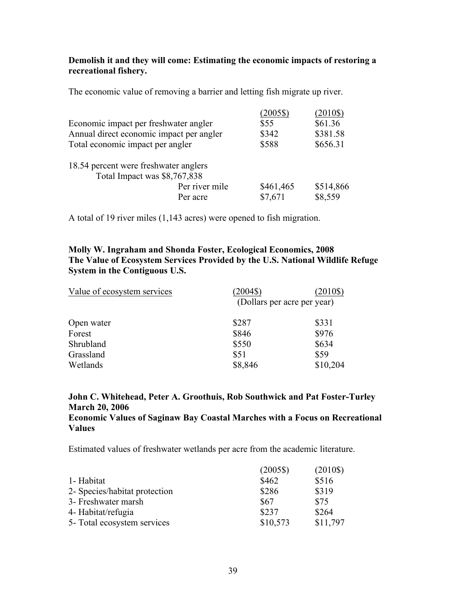# **Demolish it and they will come: Estimating the economic impacts of restoring a recreational fishery.**

The economic value of removing a barrier and letting fish migrate up river.

|                                          |                | $(2005\$  | $(2010\$  |
|------------------------------------------|----------------|-----------|-----------|
| Economic impact per freshwater angler    |                | \$55      | \$61.36   |
| Annual direct economic impact per angler |                | \$342     | \$381.58  |
| Total economic impact per angler         |                | \$588     | \$656.31  |
| 18.54 percent were freshwater anglers    |                |           |           |
| Total Impact was \$8,767,838             |                |           |           |
|                                          | Per river mile | \$461,465 | \$514,866 |
|                                          | Per acre       | \$7,671   | \$8,559   |

A total of 19 river miles (1,143 acres) were opened to fish migration.

# **Molly W. Ingraham and Shonda Foster, Ecological Economics, 2008 The Value of Ecosystem Services Provided by the U.S. National Wildlife Refuge System in the Contiguous U.S.**

| Value of ecosystem services | $(2004\text{S})$            | (2010\$) |
|-----------------------------|-----------------------------|----------|
|                             | (Dollars per acre per year) |          |
| Open water                  | \$287                       | \$331    |
| Forest                      | \$846                       | \$976    |
| Shrubland                   | \$550                       | \$634    |
| Grassland                   | \$51                        | \$59     |
| Wetlands                    | \$8,846                     | \$10,204 |

# **John C. Whitehead, Peter A. Groothuis, Rob Southwick and Pat Foster-Turley March 20, 2006 Economic Values of Saginaw Bay Coastal Marches with a Focus on Recreational Values**

Estimated values of freshwater wetlands per acre from the academic literature.

|                               | $(2005\$ | $(2010\$ |
|-------------------------------|----------|----------|
| 1- Habitat                    | \$462    | \$516    |
| 2- Species/habitat protection | \$286    | \$319    |
| 3- Freshwater marsh           | \$67     | \$75     |
| 4- Habitat/refugia            | \$237    | \$264    |
| 5- Total ecosystem services   | \$10,573 | \$11,797 |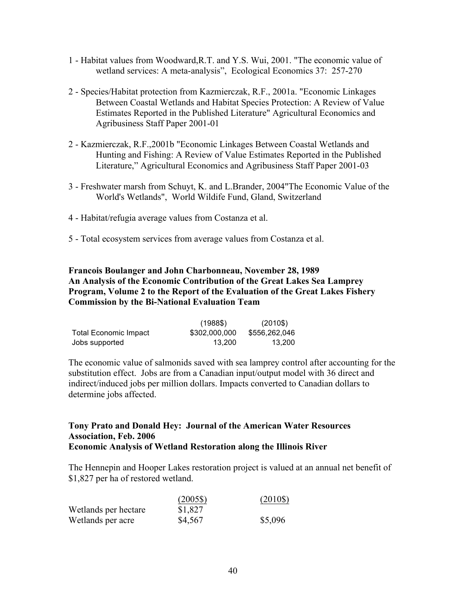- 1 Habitat values from Woodward,R.T. and Y.S. Wui, 2001. "The economic value of wetland services: A meta-analysis", Ecological Economics 37: 257-270
- 2 Species/Habitat protection from Kazmierczak, R.F., 2001a. "Economic Linkages Between Coastal Wetlands and Habitat Species Protection: A Review of Value Estimates Reported in the Published Literature" Agricultural Economics and Agribusiness Staff Paper 2001-01
- 2 Kazmierczak, R.F.,2001b "Economic Linkages Between Coastal Wetlands and Hunting and Fishing: A Review of Value Estimates Reported in the Published Literature," Agricultural Economics and Agribusiness Staff Paper 2001-03
- 3 Freshwater marsh from Schuyt, K. and L.Brander, 2004"The Economic Value of the World's Wetlands", World Wildife Fund, Gland, Switzerland
- 4 Habitat/refugia average values from Costanza et al.
- 5 Total ecosystem services from average values from Costanza et al.

# **Francois Boulanger and John Charbonneau, November 28, 1989 An Analysis of the Economic Contribution of the Great Lakes Sea Lamprey Program, Volume 2 to the Report of the Evaluation of the Great Lakes Fishery Commission by the Bi-National Evaluation Team**

|                              | $(1988\$      | $(2010\$      |
|------------------------------|---------------|---------------|
| <b>Total Economic Impact</b> | \$302,000,000 | \$556,262,046 |
| Jobs supported               | 13.200        | 13.200        |

The economic value of salmonids saved with sea lamprey control after accounting for the substitution effect. Jobs are from a Canadian input/output model with 36 direct and indirect/induced jobs per million dollars. Impacts converted to Canadian dollars to determine jobs affected.

# **Tony Prato and Donald Hey: Journal of the American Water Resources Association, Feb. 2006 Economic Analysis of Wetland Restoration along the Illinois River**

The Hennepin and Hooper Lakes restoration project is valued at an annual net benefit of \$1,827 per ha of restored wetland.

|                      | $(2005\$ | $(2010\$ |
|----------------------|----------|----------|
| Wetlands per hectare | \$1,827  |          |
| Wetlands per acre    | \$4,567  | \$5,096  |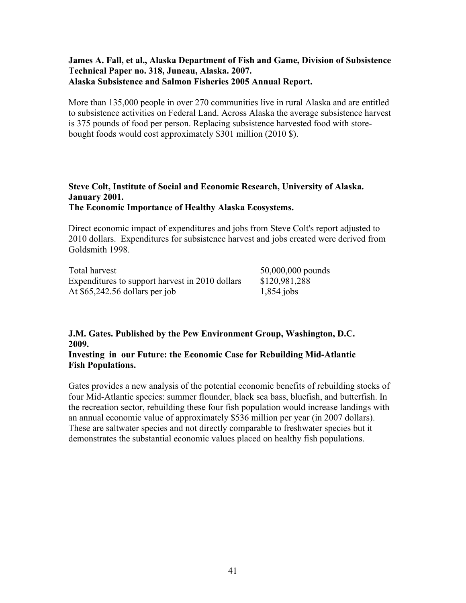# **James A. Fall, et al., Alaska Department of Fish and Game, Division of Subsistence Technical Paper no. 318, Juneau, Alaska. 2007. Alaska Subsistence and Salmon Fisheries 2005 Annual Report.**

More than 135,000 people in over 270 communities live in rural Alaska and are entitled to subsistence activities on Federal Land. Across Alaska the average subsistence harvest is 375 pounds of food per person. Replacing subsistence harvested food with storebought foods would cost approximately \$301 million (2010 \$).

# **Steve Colt, Institute of Social and Economic Research, University of Alaska. January 2001. The Economic Importance of Healthy Alaska Ecosystems.**

Direct economic impact of expenditures and jobs from Steve Colt's report adjusted to 2010 dollars. Expenditures for subsistence harvest and jobs created were derived from Goldsmith 1998.

| Total harvest                                   | 50,000,000 pounds |
|-------------------------------------------------|-------------------|
| Expenditures to support harvest in 2010 dollars | \$120,981,288     |
| At $$65,242.56$ dollars per job                 | $1,854$ jobs      |

# **J.M. Gates. Published by the Pew Environment Group, Washington, D.C. 2009.**

# **Investing in our Future: the Economic Case for Rebuilding Mid-Atlantic Fish Populations.**

Gates provides a new analysis of the potential economic benefits of rebuilding stocks of four Mid-Atlantic species: summer flounder, black sea bass, bluefish, and butterfish. In the recreation sector, rebuilding these four fish population would increase landings with an annual economic value of approximately \$536 million per year (in 2007 dollars). These are saltwater species and not directly comparable to freshwater species but it demonstrates the substantial economic values placed on healthy fish populations.